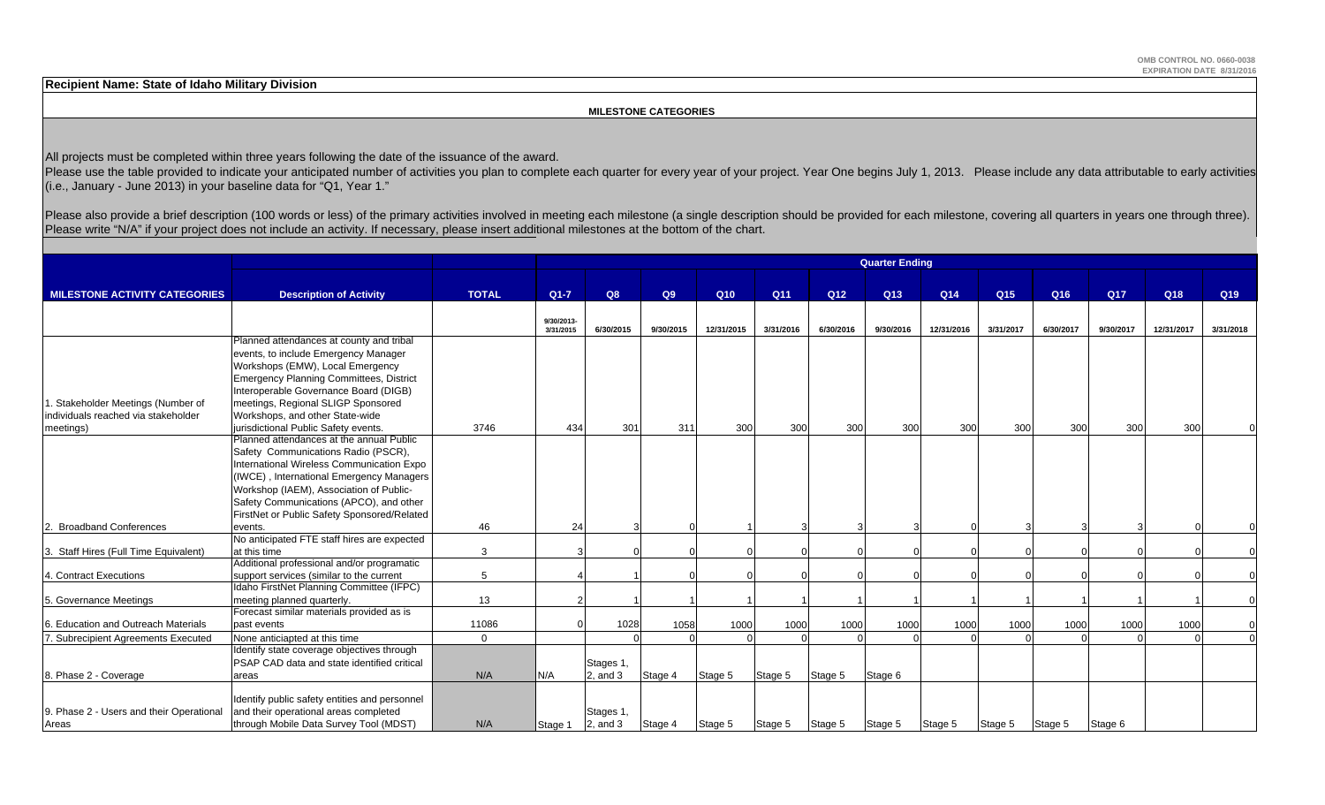**Recipient Name: State of Idaho Military Division**

#### **MILESTONE CATEGORIES**

All projects must be completed within three years following the date of the issuance of the award.

Please use the table provided to indicate your anticipated number of activities you plan to complete each quarter for every year of your project. Year One begins July 1, 2013. Please include any data attributable to early (i.e., January - June 2013) in your baseline data for "Q1, Year 1."

Please also provide a brief description (100 words or less) of the primary activities involved in meeting each milestone (a single description should be provided for each milestone, covering all quarters in years one throu Please write "N/A" if your project does not include an activity. If necessary, please insert additional milestones at the bottom of the chart.

|                                          |                                                |              | <b>Quarter Ending</b>   |               |           |            |           |                 |                 |            |                 |                 |           |            |                 |
|------------------------------------------|------------------------------------------------|--------------|-------------------------|---------------|-----------|------------|-----------|-----------------|-----------------|------------|-----------------|-----------------|-----------|------------|-----------------|
|                                          |                                                |              |                         |               |           |            |           |                 |                 |            |                 |                 |           |            |                 |
| <b>MILESTONE ACTIVITY CATEGORIES</b>     | <b>Description of Activity</b>                 | <b>TOTAL</b> | $Q1 - 7$                | Q8            | Q9        | Q10        | Q11       | Q <sub>12</sub> | Q <sub>13</sub> | Q14        | Q <sub>15</sub> | Q <sub>16</sub> | Q17       | Q18        | Q <sub>19</sub> |
|                                          |                                                |              |                         |               |           |            |           |                 |                 |            |                 |                 |           |            |                 |
|                                          |                                                |              | 9/30/2013-<br>3/31/2015 | 6/30/2015     | 9/30/2015 | 12/31/2015 | 3/31/2016 | 6/30/2016       | 9/30/2016       | 12/31/2016 | 3/31/2017       | 6/30/2017       | 9/30/2017 | 12/31/2017 | 3/31/2018       |
|                                          | Planned attendances at county and tribal       |              |                         |               |           |            |           |                 |                 |            |                 |                 |           |            |                 |
|                                          | events, to include Emergency Manager           |              |                         |               |           |            |           |                 |                 |            |                 |                 |           |            |                 |
|                                          | Workshops (EMW), Local Emergency               |              |                         |               |           |            |           |                 |                 |            |                 |                 |           |            |                 |
|                                          | <b>Emergency Planning Committees, District</b> |              |                         |               |           |            |           |                 |                 |            |                 |                 |           |            |                 |
|                                          | Interoperable Governance Board (DIGB)          |              |                         |               |           |            |           |                 |                 |            |                 |                 |           |            |                 |
| 1. Stakeholder Meetings (Number of       | meetings, Regional SLIGP Sponsored             |              |                         |               |           |            |           |                 |                 |            |                 |                 |           |            |                 |
| individuals reached via stakeholder      | Workshops, and other State-wide                |              |                         |               |           |            |           |                 |                 |            |                 |                 |           |            |                 |
| meetings)                                | jurisdictional Public Safety events.           | 3746         | 434                     | 301           | 311       | 300        | 300       | 300             | 300             | 300        | 300             | 300             | 300       | 300        |                 |
|                                          | Planned attendances at the annual Public       |              |                         |               |           |            |           |                 |                 |            |                 |                 |           |            |                 |
|                                          | Safety Communications Radio (PSCR),            |              |                         |               |           |            |           |                 |                 |            |                 |                 |           |            |                 |
|                                          | International Wireless Communication Expo      |              |                         |               |           |            |           |                 |                 |            |                 |                 |           |            |                 |
|                                          | (IWCE), International Emergency Managers       |              |                         |               |           |            |           |                 |                 |            |                 |                 |           |            |                 |
|                                          | Workshop (IAEM), Association of Public-        |              |                         |               |           |            |           |                 |                 |            |                 |                 |           |            |                 |
|                                          | Safety Communications (APCO), and other        |              |                         |               |           |            |           |                 |                 |            |                 |                 |           |            |                 |
|                                          | FirstNet or Public Safety Sponsored/Related    |              |                         |               |           |            |           |                 |                 |            |                 |                 |           |            |                 |
| 2. Broadband Conferences                 | events.                                        | 46           | 24                      |               |           |            |           |                 |                 |            |                 |                 |           |            |                 |
|                                          | No anticipated FTE staff hires are expected    |              |                         |               |           |            |           |                 |                 |            |                 |                 |           |            |                 |
| 3. Staff Hires (Full Time Equivalent)    | at this time                                   | 3            |                         |               |           |            |           |                 |                 |            |                 |                 |           |            |                 |
|                                          | Additional professional and/or programatic     |              |                         |               |           |            |           |                 |                 |            |                 |                 |           |            |                 |
| 4. Contract Executions                   | support services (similar to the current       | 5            |                         |               |           |            |           |                 |                 |            |                 |                 |           |            |                 |
|                                          | Idaho FirstNet Planning Committee (IFPC)       |              |                         |               |           |            |           |                 |                 |            |                 |                 |           |            |                 |
| 5. Governance Meetings                   | meeting planned quarterly.                     | 13           |                         |               |           |            |           |                 |                 |            |                 |                 |           |            |                 |
|                                          | Forecast similar materials provided as is      |              |                         |               |           |            |           |                 |                 |            |                 |                 |           |            |                 |
| 6. Education and Outreach Materials      | past events                                    | 11086        |                         | 1028          | 1058      | 1000       | 1000      | 1000            | 1000            | 1000       | 1000            | 1000            | 1000      | 1000       |                 |
| 7. Subrecipient Agreements Executed      | None anticiapted at this time                  | $\mathbf 0$  |                         |               |           |            |           |                 |                 |            |                 |                 |           |            |                 |
|                                          | Identify state coverage objectives through     |              |                         |               |           |            |           |                 |                 |            |                 |                 |           |            |                 |
|                                          | PSAP CAD data and state identified critical    |              |                         | Stages 1,     |           |            |           |                 |                 |            |                 |                 |           |            |                 |
| 8. Phase 2 - Coverage                    | areas                                          | N/A          | N/A                     | $2$ , and $3$ | Stage 4   | Stage 5    | Stage 5   | Stage 5         | Stage 6         |            |                 |                 |           |            |                 |
|                                          |                                                |              |                         |               |           |            |           |                 |                 |            |                 |                 |           |            |                 |
|                                          | Identify public safety entities and personnel  |              |                         |               |           |            |           |                 |                 |            |                 |                 |           |            |                 |
| 9. Phase 2 - Users and their Operational | and their operational areas completed          |              |                         | Stages 1,     |           |            |           |                 |                 |            |                 |                 |           |            |                 |
| Areas                                    | through Mobile Data Survey Tool (MDST)         | N/A          | Stage 1                 | $2$ , and $3$ | Stage 4   | Stage 5    | Stage 5   | Stage 5         | Stage 5         | Stage 5    | Stage 5         | Stage 5         | Stage 6   |            |                 |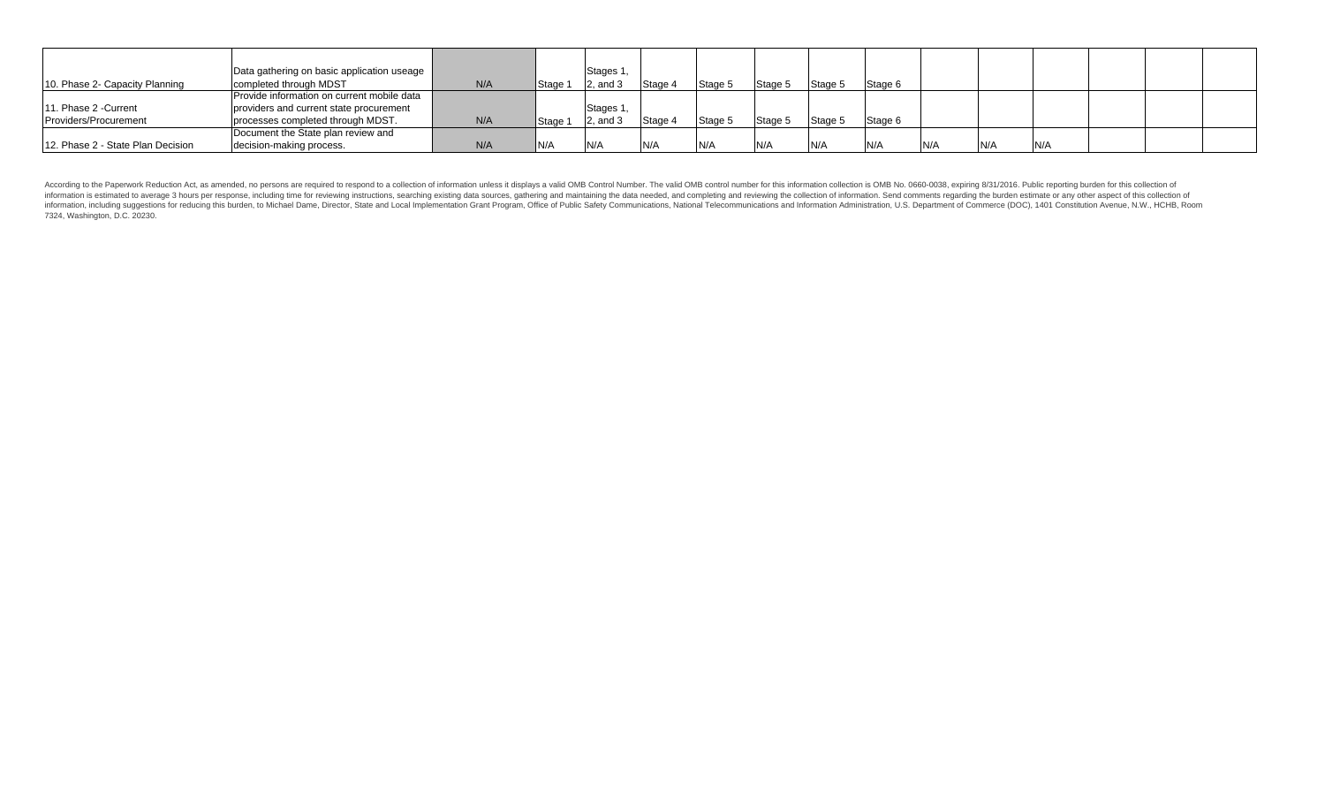|                                   | Data gathering on basic application useage |     |         | Stages 1 |         |         |                |          |         |      |     |     |  |
|-----------------------------------|--------------------------------------------|-----|---------|----------|---------|---------|----------------|----------|---------|------|-----|-----|--|
| 10. Phase 2- Capacity Planning    | completed through MDST                     | N/A | Stage 1 | and :    | Stage 4 | Stage 5 | <b>Stage 5</b> | Stage 5  | Stage 6 |      |     |     |  |
|                                   | Provide information on current mobile data |     |         |          |         |         |                |          |         |      |     |     |  |
| 11. Phase 2 - Current             | providers and current state procurement    |     |         | Stages 1 |         |         |                |          |         |      |     |     |  |
| Providers/Procurement             | processes completed through MDST.          | N/A | Stage 1 |          | Stage 4 | Stage 5 | Stage 5        | Stage to | Stage 6 |      |     |     |  |
|                                   | Document the State plan review and         |     |         |          |         |         |                |          |         |      |     |     |  |
| 12. Phase 2 - State Plan Decision | decision-making process.                   | N/A | N/A     | N/A      | N/A     |         | N/A            |          | IN/A    | IN/A | N/A | N/A |  |

According to the Paperwork Reduction Act, as amended, no persons are required to respond to a collection of information unless it displays a valid OMB Control Number. The valid OMB control number for this information colle information is estimated to average 3 hours per response, including time for reviewing instructions, searching existing data sources, gathering and maintaining the data needed, and completing and reviewing the collection o 7324, Washington, D.C. 20230.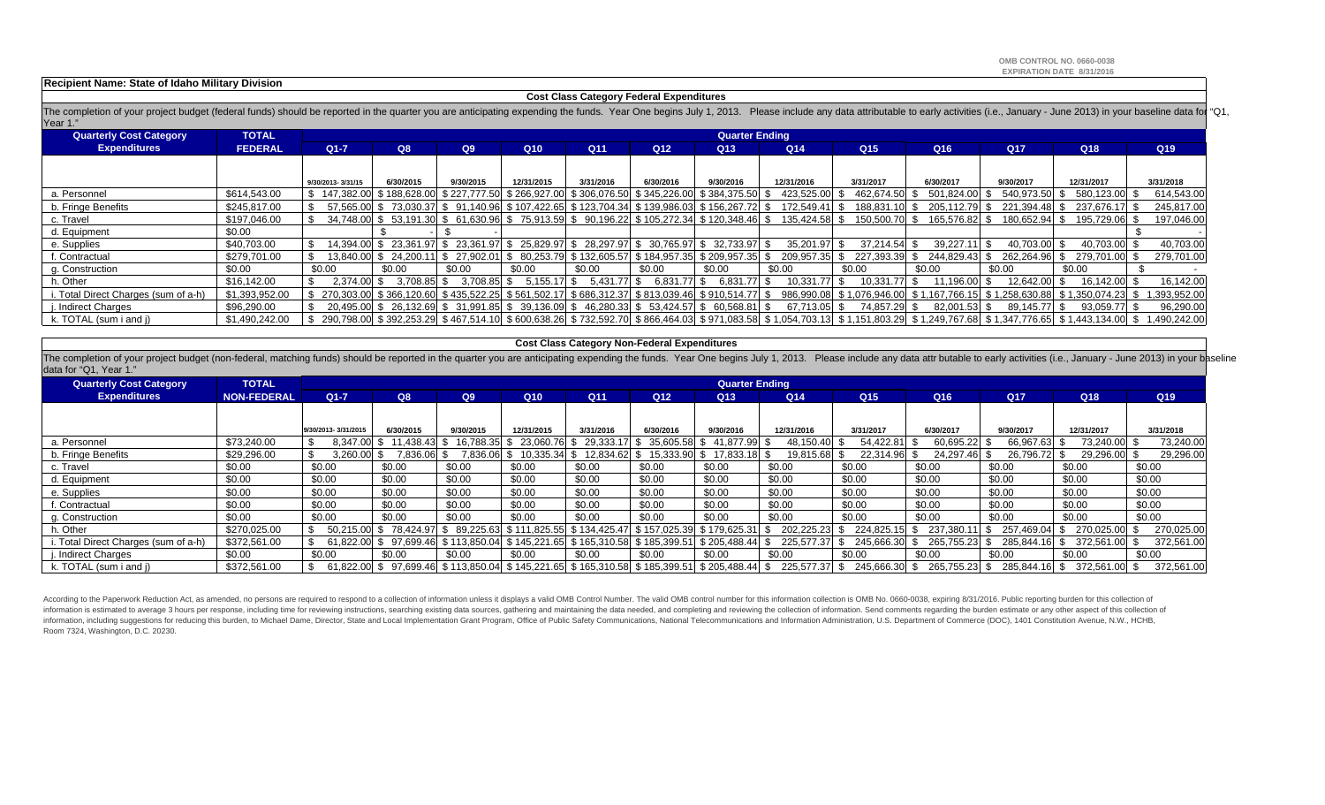**OMB CONTROL NO. 0660-0038EXPIRATION DATE 8/31/2016**

#### **Recipient Name: State of Idaho Military Division**

#### **Cost Class Category Federal Expenditures**

The completion of your project budget (federal funds) should be reported in the quarter you are anticipating expending the funds. Year One begins July 1, 2013. Please include any data attributable to early activities (i.e. Year 1."

| <b>Quarterly Cost Category</b>       | <b>TOTAL</b>   |                           | <b>Quarter Ending</b>                                                                      |           |                                                                     |                 |                 |                                           |                 |                                          |                 |                 |                                                                                                                                                                                                   |              |
|--------------------------------------|----------------|---------------------------|--------------------------------------------------------------------------------------------|-----------|---------------------------------------------------------------------|-----------------|-----------------|-------------------------------------------|-----------------|------------------------------------------|-----------------|-----------------|---------------------------------------------------------------------------------------------------------------------------------------------------------------------------------------------------|--------------|
| <b>Expenditures</b>                  | <b>FEDERAL</b> | $Q1 - 7$                  | Q8                                                                                         | Q9        | Q10                                                                 | Q <sub>11</sub> | Q <sub>12</sub> | Q <sub>13</sub>                           | Q <sub>14</sub> | Q <sub>15</sub>                          | Q <sub>16</sub> | Q <sub>17</sub> | Q <sub>18</sub>                                                                                                                                                                                   | Q19          |
|                                      |                |                           |                                                                                            |           |                                                                     |                 |                 |                                           |                 |                                          |                 |                 |                                                                                                                                                                                                   |              |
|                                      |                | 9/30/2013-3/31/15         | 6/30/2015                                                                                  | 9/30/2015 | 12/31/2015                                                          | 3/31/2016       | 6/30/2016       | 9/30/2016                                 | 12/31/2016      | 3/31/2017                                | 6/30/2017       | 9/30/2017       | 12/31/2017                                                                                                                                                                                        | 3/31/2018    |
| a. Personnel                         | \$614,543.00   | \$147.382.00 \$188.628.00 |                                                                                            |           | \$227,777.50 \$266,927.00 \$306,076.50 \$345,226.00                 |                 |                 | \$384,375.50                              | 423.525.00 \$   | 462.674.50 \$                            | 501,824.00      | 540.973.50 \$   | 580,123.00                                                                                                                                                                                        | 614,543.00   |
| b. Fringe Benefits                   | \$245,817.00   |                           | 57,565.00 \$73,030.37 \$91,140.96 \$107,422.65 \$123,704.34 \$139,986.03 \$156,267.72 \$   |           |                                                                     |                 |                 |                                           | 172.549.41 \$   | 188,831.10 \$                            | 205.112.79      | 221,394.48 \$   | 237.676.17                                                                                                                                                                                        | 245,817.00   |
| c. Travel                            | \$197,046.00   |                           | 34.748.00 \$ 53.191.30                                                                     |           | \$ 61.630.96 \$ 75.913.59 \$ 90.196.22 \$105.272.34 \$120.348.46 \$ |                 |                 |                                           | 135.424.58 \$   | 150,500,70 \$                            | 165.576.82      | 180.652.94 \$   | 195.729.06                                                                                                                                                                                        | 197,046.00   |
| d. Equipment                         | \$0.00         |                           |                                                                                            |           |                                                                     |                 |                 |                                           |                 |                                          |                 |                 |                                                                                                                                                                                                   |              |
| e. Supplies                          | \$40,703.00    |                           | 14,394.00 \$ 23,361.97 \$ 23,361.97 \$ 25,829.97 \$ 28,297.97 \$ 30,765.97 \$ 32,733.97 \$ |           |                                                                     |                 |                 |                                           | 35,201.97 \$    | 37.214.54 \$                             | 39.227.11       | 40.703.00 \$    | 40,703.00                                                                                                                                                                                         | 40,703.00    |
| f. Contractual                       | \$279.701.00   |                           | 13.840.00 \$ 24.200.11                                                                     |           | \$ 27.902.01 \$ 80.253.79                                           |                 |                 | \$132,605.57 \$184,957.35 \$209,957.35 \$ | 209,957.35 \$   | 227.393.39 \$                            | 244.829.43      | 262.264.96 \$   | 279.701.00                                                                                                                                                                                        | 279,701.00   |
| g. Construction                      | \$0.00         | \$0.00                    | \$0.00                                                                                     | \$0.00    | \$0.00                                                              | \$0.00          | \$0.00          | \$0.00                                    | \$0.00          | \$0.00                                   | \$0.00          | \$0.00          | \$0.00                                                                                                                                                                                            |              |
| h. Other                             | \$16.142.00    | 2,374.00 \$               | 3.708.85                                                                                   | 3.708.85  | 5,155.17                                                            | 5,431.77        | 6,831.7<br>- 35 | 6.831<br>-SS                              | 10.331.         | 10,331.77                                | 11.196.00       | 12.642.00 \$    | 16.142.00                                                                                                                                                                                         | 16,142.00    |
| i. Total Direct Charges (sum of a-h) | \$1.393.952.00 |                           | 270.303.00 \$366.120.60                                                                    |           | \$435,522.25 \$561,502.17 \$686,312.37 \$813,039.46 \$910,514.77 \$ |                 |                 |                                           |                 | 986.990.08 \$1.076.946.00 \$1.167.766.15 |                 |                 |                                                                                                                                                                                                   | 1,393,952.00 |
| j. Indirect Charges                  | \$96,290.00    |                           | 20,495.00 \$ 26,132.69 \$ 31,991.85 \$ 39,136.09 \$ 46,280.33 \$ 53,424.57 \$ 60,568.81 \$ |           |                                                                     |                 |                 |                                           | 67.713.05 \$    | 74.857.29 \$                             | 82.001.53       | 89.145.77 \$    | 93.059.77                                                                                                                                                                                         | 96,290.00    |
| k. TOTAL (sum i and i)               | \$1.490.242.00 |                           |                                                                                            |           |                                                                     |                 |                 |                                           |                 |                                          |                 |                 | \$ 290,798.00 \$ 392,253.29 \$ 467,514.10 \$ 600,638.26 \$ 732,592.70 \$ 866,464.03 \$ 971,083.58 \$ 1,054,703.13 \$ 1,151,803.29 \$ 1,249,767.68 \$ 1,347,776.65 \$ 1,443,134.00 \$ 1,490,242.00 |              |

#### **Cost Class Category Non-Federal Expenditures**

The completion of your project budget (non-federal, matching funds) should be reported in the quarter you are anticipating expending the funds. Year One begins July 1, 2013. Please include any data attr butable to early ac data for "Q1, Year 1."

| <b>Quarterly Cost Category</b>       | <b>TOTAL</b>       |                     |              |           |                                                  |                           |                 | <b>Quarter Ending</b>                     |                 |               |              |               |               |            |
|--------------------------------------|--------------------|---------------------|--------------|-----------|--------------------------------------------------|---------------------------|-----------------|-------------------------------------------|-----------------|---------------|--------------|---------------|---------------|------------|
| <b>Expenditures</b>                  | <b>NON-FEDERAL</b> | $Q1 - 7$            | Q8           | Q9        | Q10                                              | Q <sub>11</sub>           | Q <sub>12</sub> | Q <sub>13</sub>                           | Q <sub>14</sub> | Q15           | Q16          | Q17           | Q18           | Q19        |
|                                      |                    |                     |              |           |                                                  |                           |                 |                                           |                 |               |              |               |               |            |
|                                      |                    | 9/30/2013-3/31/2015 | 6/30/2015    | 9/30/2015 | 12/31/2015                                       | 3/31/2016                 | 6/30/2016       | 9/30/2016                                 | 12/31/2016      | 3/31/2017     | 6/30/2017    | 9/30/2017     | 12/31/2017    | 3/31/2018  |
| a. Personnel                         | \$73,240.00        | 8,347.00 \$         | 11,438.43 \$ | 16,788.35 | 23,060.76                                        | 29,333.1                  | 35,605.58<br>.ზ | 41,877.99 \$<br>P.                        | 48,150.40       | 54,422.81 \$  | 60,695.22 \$ | 66,967.63 \$  | 73,240.00 \$  | 73,240.00  |
| b. Fringe Benefits                   | \$29,296.00        | 3,260.00 \$         | 7.836.06 \$  | 7,836.06  | 10,335.34                                        | 12,834.62 \$              | 15,333.90       | $$17,833.18$ \$                           | 19,815.68       | 22,314.96 \$  | 24.297.46    | 26,796.72 \$  | 29,296.00 \$  | 29,296.00  |
| c. Travel                            | \$0.00             | \$0.00              | \$0.00       | \$0.00    | \$0.00                                           | \$0.00                    | \$0.00          | \$0.00                                    | \$0.00          | \$0.00        | \$0.00       | \$0.00        | \$0.00        | \$0.00     |
| d. Equipment                         | \$0.00             | \$0.00              | \$0.00       | \$0.00    | \$0.00                                           | \$0.00                    | \$0.00          | \$0.00                                    | \$0.00          | \$0.00        | \$0.00       | \$0.00        | \$0.00        | \$0.00     |
| e. Supplies                          | \$0.00             | \$0.00              | \$0.00       | \$0.00    | \$0.00                                           | \$0.00                    | \$0.00          | \$0.00                                    | \$0.00          | \$0.00        | \$0.00       | \$0.00        | \$0.00        | \$0.00     |
| f. Contractual                       | \$0.00             | \$0.00              | \$0.00       | \$0.00    | \$0.00                                           | \$0.00                    | \$0.00          | \$0.00                                    | \$0.00          | \$0.00        | \$0.00       | \$0.00        | \$0.00        | \$0.00     |
| g. Construction                      | \$0.00             | \$0.00              | \$0.00       | \$0.00    | \$0.00                                           | \$0.00                    | \$0.00          | \$0.00                                    | \$0.00          | \$0.00        | \$0.00       | \$0.00        | \$0.00        | \$0.00     |
| h. Other                             | \$270.025.00       | 50.215.00           | 78.424.97    | 89.225.63 | \$111.825.55                                     | \$134.425.47 \$157.025.39 |                 | \$179,625.31                              | 202.225.23      | 224,825.15    | 237.380      | 257.469.04 \$ | 270.025.00    | 270,025.00 |
| i. Total Direct Charges (sum of a-h) | \$372,561.00       | 61.822.00 \$        |              |           | 97,699.46 \$113,850.04 \$145,221.65              |                           |                 | \$165,310.58 \$185,399.51 \$205,488.44 \$ | 225,577.37      | 245,666.30    | 265,755.23   | 285,844.16 \$ | 372,561.00 \$ | 372,561.00 |
| i. Indirect Charges                  | \$0.00             | \$0.00              | \$0.00       | \$0.00    | \$0.00                                           | \$0.00                    | \$0.00          | \$0.00                                    | \$0.00          | \$0.00        | \$0.00       | \$0.00        | \$0.00        | \$0.00     |
| k. TOTAL (sum i and j)               | \$372,561.00       |                     |              |           | 61,822.00 \$ 97,699.46 \$113,850.04 \$145,221.65 |                           |                 | \$165,310.58 \$185,399.51 \$205,488.44 \$ | 225,577.37 \$   | 245,666.30 \$ | 265,755.23   | 285,844.16 \$ | 372.561.00 \$ | 372,561.00 |

According to the Paperwork Reduction Act, as amended, no persons are required to respond to a collection of information unless it displays a valid OMB Control Number. The valid OMB control number for this information colle information is estimated to average 3 hours per response, including time for reviewing instructions, searching existing data sources, gathering and maintaining the data needed, and completing and reviewing the collection o information, including suggestions for reducing this burden, to Michael Dame, Director, State and Local Implementation Grant Program, Office of Public Safety Communications, National Telecommunications and Information Admi Room 7324, Washington, D.C. 20230.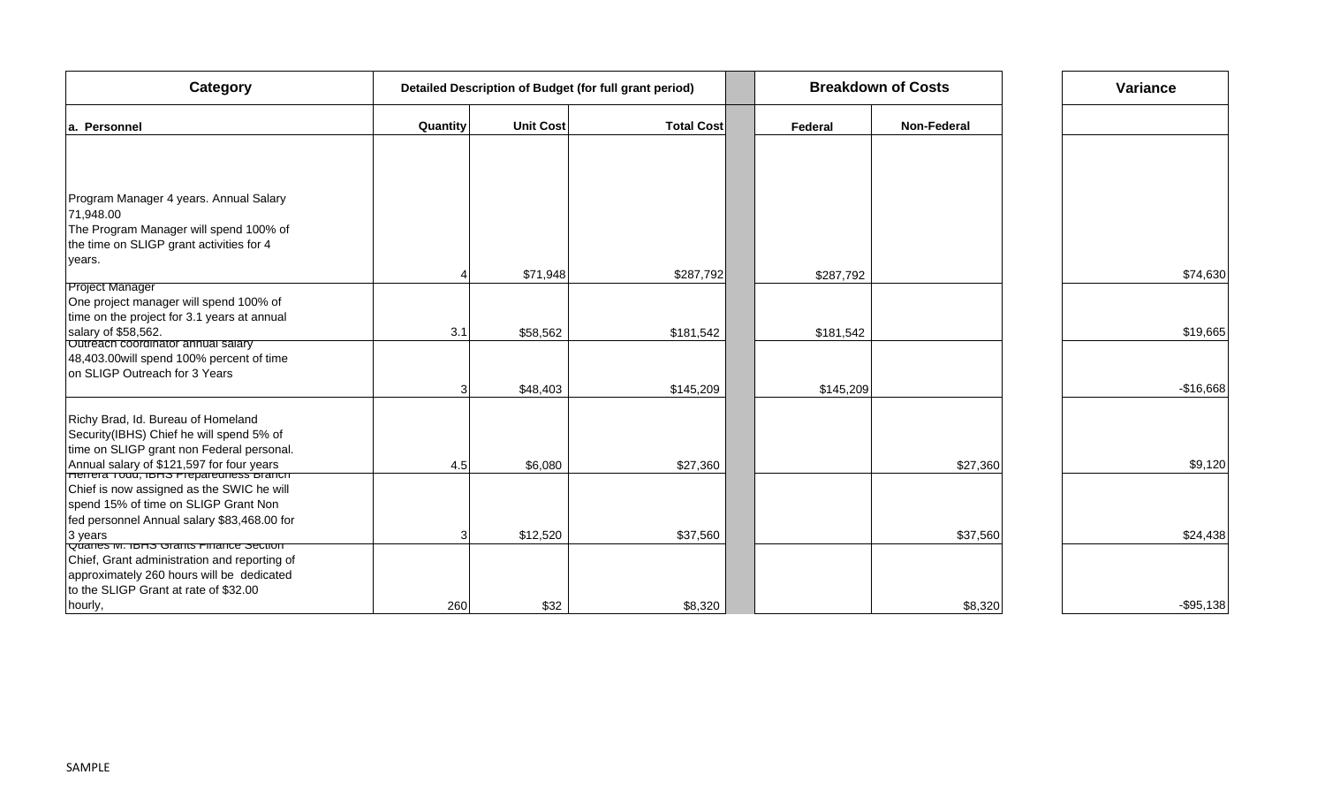| Category                                                                               | Detailed Description of Budget (for full grant period) |                  |                   |           | <b>Breakdown of Costs</b> | Variance   |
|----------------------------------------------------------------------------------------|--------------------------------------------------------|------------------|-------------------|-----------|---------------------------|------------|
| la. Personnel                                                                          | Quantity                                               | <b>Unit Cost</b> | <b>Total Cost</b> | Federal   | <b>Non-Federal</b>        |            |
|                                                                                        |                                                        |                  |                   |           |                           |            |
|                                                                                        |                                                        |                  |                   |           |                           |            |
| Program Manager 4 years. Annual Salary                                                 |                                                        |                  |                   |           |                           |            |
| 71,948.00<br>The Program Manager will spend 100% of                                    |                                                        |                  |                   |           |                           |            |
| the time on SLIGP grant activities for 4                                               |                                                        |                  |                   |           |                           |            |
| years.                                                                                 |                                                        |                  |                   |           |                           |            |
|                                                                                        |                                                        | \$71,948         | \$287,792         | \$287,792 |                           | \$74,630   |
| <b>Project Manager</b>                                                                 |                                                        |                  |                   |           |                           |            |
| One project manager will spend 100% of                                                 |                                                        |                  |                   |           |                           |            |
| time on the project for 3.1 years at annual                                            |                                                        |                  |                   |           |                           |            |
| salary of \$58,562.<br>Outréach coordinator annual salary                              | 3.1                                                    | \$58,562         | \$181,542         | \$181,542 |                           | \$19,665   |
| 48,403.00 will spend 100% percent of time                                              |                                                        |                  |                   |           |                           |            |
| on SLIGP Outreach for 3 Years                                                          |                                                        |                  |                   |           |                           |            |
|                                                                                        |                                                        | \$48,403         | \$145,209         | \$145,209 |                           | $-$16,668$ |
| Richy Brad, Id. Bureau of Homeland                                                     |                                                        |                  |                   |           |                           |            |
| Security(IBHS) Chief he will spend 5% of                                               |                                                        |                  |                   |           |                           |            |
| time on SLIGP grant non Federal personal.                                              |                                                        |                  |                   |           |                           |            |
| Annual salary of \$121,597 for four years<br>FITHETTET TODD, IBHS PTED ATENT BRITTEN   | 4.5                                                    | \$6,080          | \$27,360          |           | \$27,360                  | \$9,120    |
| Chief is now assigned as the SWIC he will                                              |                                                        |                  |                   |           |                           |            |
| spend 15% of time on SLIGP Grant Non                                                   |                                                        |                  |                   |           |                           |            |
| fed personnel Annual salary \$83,468.00 for                                            |                                                        |                  |                   |           |                           |            |
| 3 years                                                                                | 3                                                      | \$12,520         | \$37,560          |           | \$37,560                  | \$24,438   |
| Quaries M. IDHS Grants Finance Section<br>Chief, Grant administration and reporting of |                                                        |                  |                   |           |                           |            |
| approximately 260 hours will be dedicated                                              |                                                        |                  |                   |           |                           |            |
| to the SLIGP Grant at rate of \$32.00                                                  |                                                        |                  |                   |           |                           |            |
| hourly,                                                                                | 260                                                    | \$32             | \$8,320           |           | \$8,320                   | $-$95,138$ |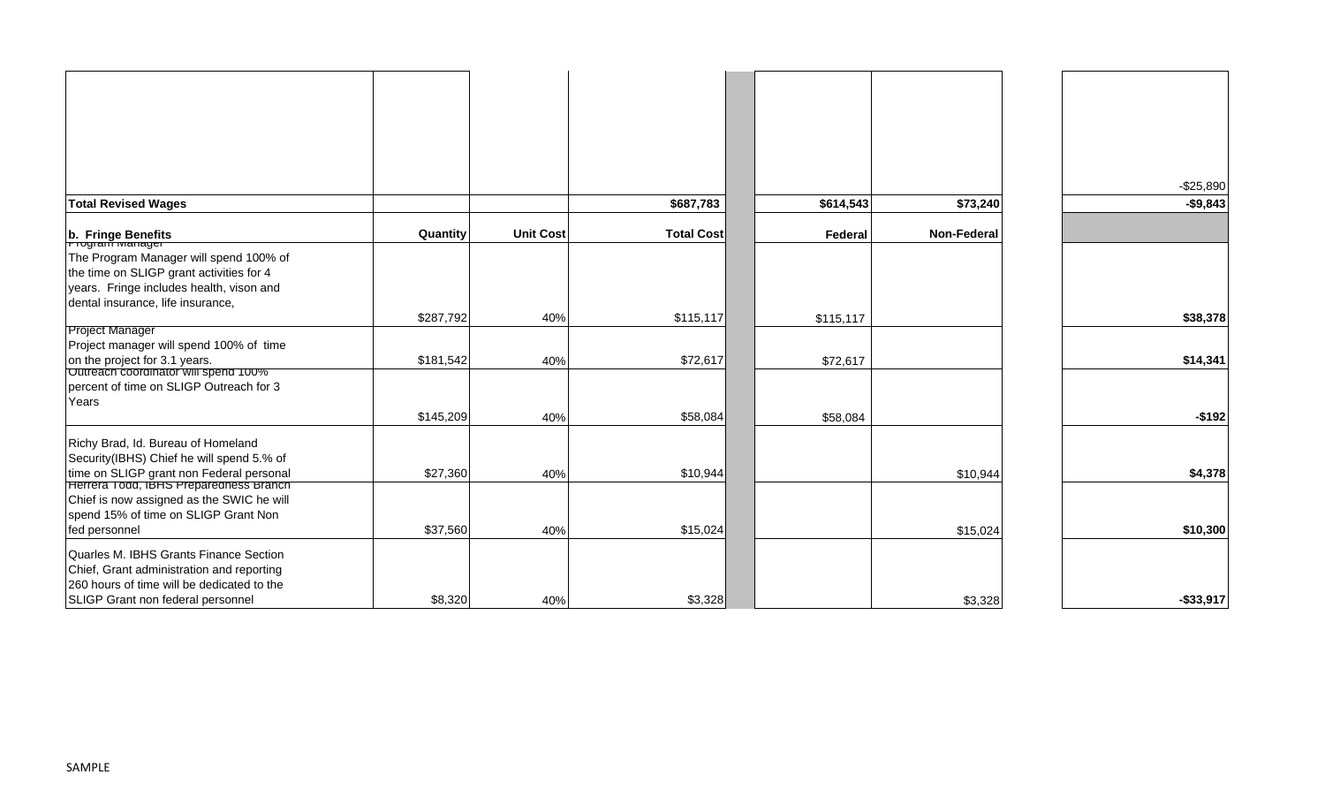|                                                                                    |           |                  |                   |           |             | $-$25,890$ |
|------------------------------------------------------------------------------------|-----------|------------------|-------------------|-----------|-------------|------------|
| <b>Total Revised Wages</b>                                                         |           |                  | \$687,783         | \$614,543 | \$73,240    | $-$9,843$  |
| b. Fringe Benefits                                                                 | Quantity  | <b>Unit Cost</b> | <b>Total Cost</b> | Federal   | Non-Federal |            |
|                                                                                    |           |                  |                   |           |             |            |
| The Program Manager will spend 100% of<br>the time on SLIGP grant activities for 4 |           |                  |                   |           |             |            |
|                                                                                    |           |                  |                   |           |             |            |
| years. Fringe includes health, vison and                                           |           |                  |                   |           |             |            |
| dental insurance, life insurance,                                                  | \$287,792 | 40%              | \$115,117         |           |             | \$38,378   |
| <b>Project Manager</b>                                                             |           |                  |                   | \$115,117 |             |            |
| Project manager will spend 100% of time                                            |           |                  |                   |           |             |            |
| on the project for 3.1 years.                                                      | \$181,542 | 40%              | \$72,617          | \$72,617  |             | \$14,341   |
| <b>Outreach coordinator will spend 100%</b>                                        |           |                  |                   |           |             |            |
| percent of time on SLIGP Outreach for 3                                            |           |                  |                   |           |             |            |
| Years                                                                              |           |                  |                   |           |             |            |
|                                                                                    | \$145,209 | 40%              | \$58,084          | \$58,084  |             | $-$192$    |
| Richy Brad, Id. Bureau of Homeland                                                 |           |                  |                   |           |             |            |
| Security(IBHS) Chief he will spend 5.% of                                          |           |                  |                   |           |             |            |
|                                                                                    | \$27,360  | 40%              | \$10,944          |           | \$10,944    | \$4,378    |
| time on SLIGP grant non Federal personal<br>Herrera Todd, IBHS Preparedness Branch |           |                  |                   |           |             |            |
| Chief is now assigned as the SWIC he will                                          |           |                  |                   |           |             |            |
| spend 15% of time on SLIGP Grant Non                                               |           |                  |                   |           |             |            |
| fed personnel                                                                      | \$37,560  | 40%              | \$15,024          |           | \$15,024    | \$10,300   |
| Quarles M. IBHS Grants Finance Section                                             |           |                  |                   |           |             |            |
| Chief, Grant administration and reporting                                          |           |                  |                   |           |             |            |
| 260 hours of time will be dedicated to the                                         |           |                  |                   |           |             |            |
| SLIGP Grant non federal personnel                                                  | \$8,320   | 40%              | \$3,328           |           | \$3,328     | $-$33,917$ |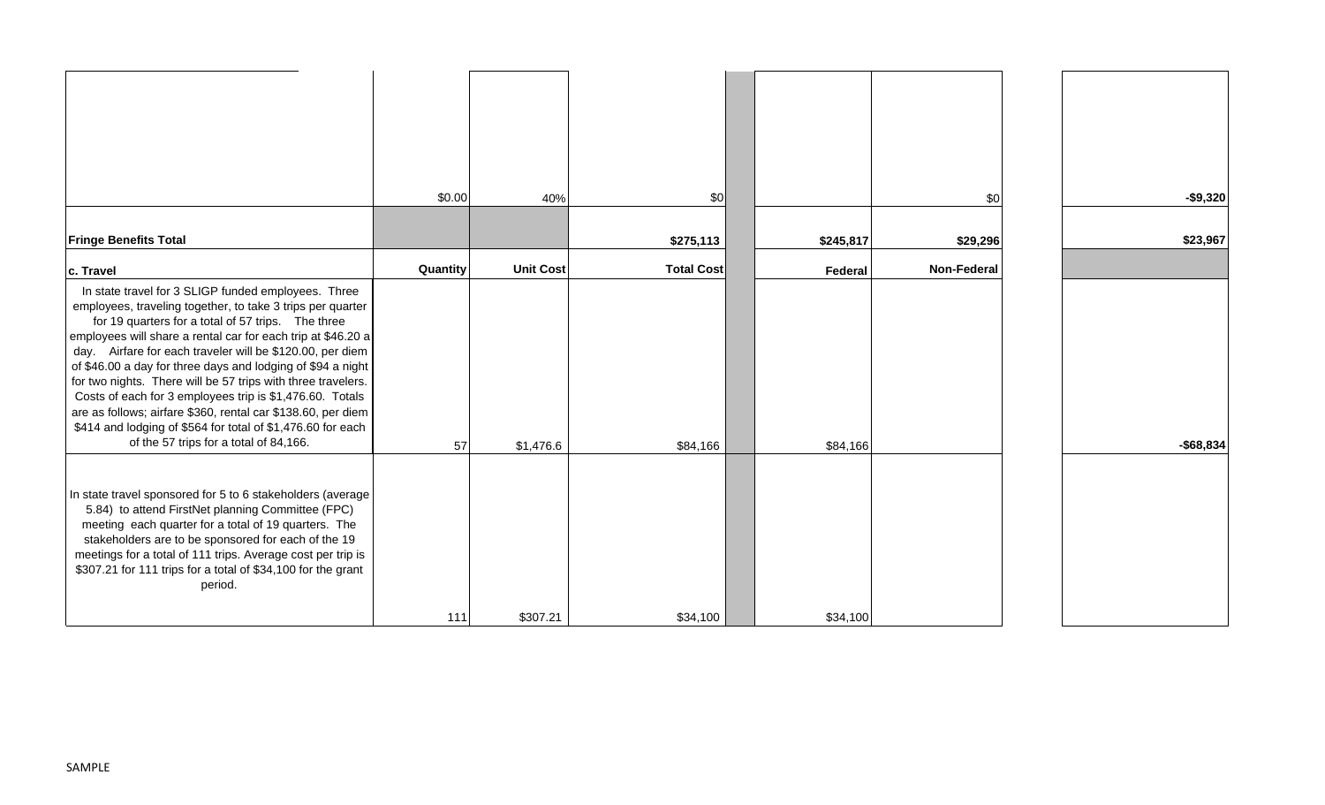|                                                                                                                                                                                                                                                                                                                                                                                                                                                                                                                                                                                                                                                                          | \$0.00   |                  |                   |           |                    |            |
|--------------------------------------------------------------------------------------------------------------------------------------------------------------------------------------------------------------------------------------------------------------------------------------------------------------------------------------------------------------------------------------------------------------------------------------------------------------------------------------------------------------------------------------------------------------------------------------------------------------------------------------------------------------------------|----------|------------------|-------------------|-----------|--------------------|------------|
|                                                                                                                                                                                                                                                                                                                                                                                                                                                                                                                                                                                                                                                                          |          | 40%              | \$0               |           | \$0                | $-$9,320$  |
| <b>Fringe Benefits Total</b>                                                                                                                                                                                                                                                                                                                                                                                                                                                                                                                                                                                                                                             |          |                  | \$275,113         | \$245,817 | \$29,296           | \$23,967   |
| c. Travel                                                                                                                                                                                                                                                                                                                                                                                                                                                                                                                                                                                                                                                                | Quantity | <b>Unit Cost</b> | <b>Total Cost</b> | Federal   | <b>Non-Federal</b> |            |
| In state travel for 3 SLIGP funded employees. Three<br>employees, traveling together, to take 3 trips per quarter<br>for 19 quarters for a total of 57 trips. The three<br>employees will share a rental car for each trip at \$46.20 a<br>day. Airfare for each traveler will be \$120.00, per diem<br>of \$46.00 a day for three days and lodging of \$94 a night<br>for two nights. There will be 57 trips with three travelers.<br>Costs of each for 3 employees trip is \$1,476.60. Totals<br>are as follows; airfare \$360, rental car \$138.60, per diem<br>\$414 and lodging of \$564 for total of \$1,476.60 for each<br>of the 57 trips for a total of 84,166. | 57       | \$1,476.6        | \$84,166          | \$84,166  |                    | $-$68,834$ |
| In state travel sponsored for 5 to 6 stakeholders (average<br>5.84) to attend FirstNet planning Committee (FPC)<br>meeting each quarter for a total of 19 quarters. The<br>stakeholders are to be sponsored for each of the 19<br>meetings for a total of 111 trips. Average cost per trip is<br>\$307.21 for 111 trips for a total of \$34,100 for the grant<br>period.                                                                                                                                                                                                                                                                                                 | 111      | \$307.21         | \$34,100          | \$34,100  |                    |            |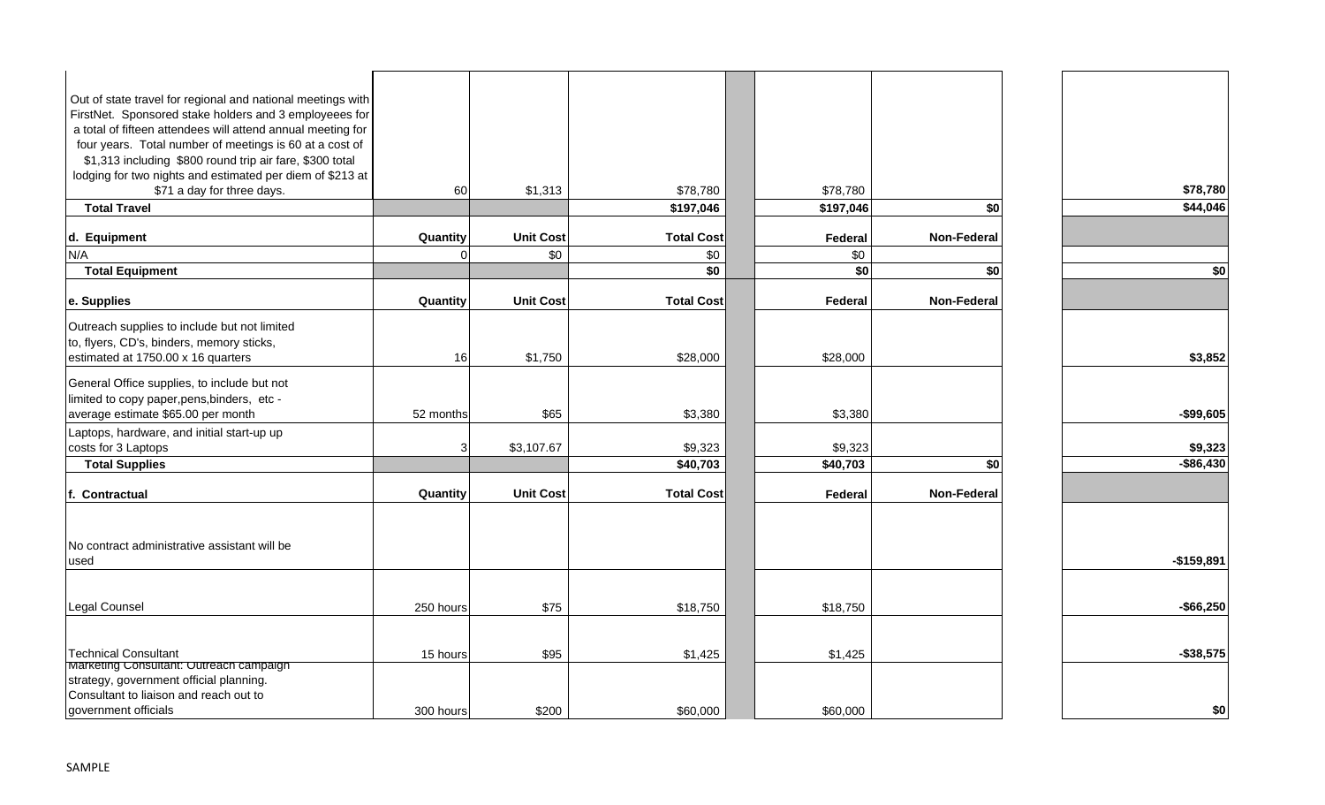| Out of state travel for regional and national meetings with<br>FirstNet. Sponsored stake holders and 3 employeees for |           |                  |                   |           |                    |              |
|-----------------------------------------------------------------------------------------------------------------------|-----------|------------------|-------------------|-----------|--------------------|--------------|
| a total of fifteen attendees will attend annual meeting for                                                           |           |                  |                   |           |                    |              |
| four years. Total number of meetings is 60 at a cost of                                                               |           |                  |                   |           |                    |              |
| \$1,313 including \$800 round trip air fare, \$300 total                                                              |           |                  |                   |           |                    |              |
| lodging for two nights and estimated per diem of \$213 at                                                             |           |                  |                   |           |                    |              |
| \$71 a day for three days.                                                                                            | 60        | \$1,313          | \$78,780          | \$78,780  |                    | \$78,780     |
| <b>Total Travel</b>                                                                                                   |           |                  | \$197,046         | \$197,046 | \$0                | \$44,046     |
|                                                                                                                       |           |                  |                   |           |                    |              |
| d. Equipment                                                                                                          | Quantity  | <b>Unit Cost</b> | <b>Total Cost</b> | Federal   | <b>Non-Federal</b> |              |
| N/A                                                                                                                   |           | \$0              | \$0               | \$0       |                    |              |
| <b>Total Equipment</b>                                                                                                |           |                  | \$0               | \$0       | \$0                | \$0          |
|                                                                                                                       |           |                  |                   |           |                    |              |
| e. Supplies                                                                                                           | Quantity  | <b>Unit Cost</b> | <b>Total Cost</b> | Federal   | Non-Federal        |              |
| Outreach supplies to include but not limited                                                                          |           |                  |                   |           |                    |              |
| to, flyers, CD's, binders, memory sticks,                                                                             |           |                  |                   |           |                    |              |
| estimated at 1750.00 x 16 quarters                                                                                    | 16        | \$1,750          | \$28,000          | \$28,000  |                    | \$3,852      |
|                                                                                                                       |           |                  |                   |           |                    |              |
| General Office supplies, to include but not                                                                           |           |                  |                   |           |                    |              |
| limited to copy paper, pens, binders, etc -                                                                           |           |                  |                   |           |                    |              |
| average estimate \$65.00 per month                                                                                    | 52 months | \$65             | \$3,380           | \$3,380   |                    | $-$ \$99,605 |
| Laptops, hardware, and initial start-up up                                                                            |           |                  |                   |           |                    |              |
| costs for 3 Laptops                                                                                                   | 3         | \$3,107.67       | \$9,323           | \$9,323   |                    | \$9,323      |
| <b>Total Supplies</b>                                                                                                 |           |                  | \$40,703          | \$40,703  | \$0                | $-$ \$86,430 |
| f. Contractual                                                                                                        | Quantity  | <b>Unit Cost</b> | <b>Total Cost</b> | Federal   | <b>Non-Federal</b> |              |
|                                                                                                                       |           |                  |                   |           |                    |              |
| No contract administrative assistant will be                                                                          |           |                  |                   |           |                    |              |
| used                                                                                                                  |           |                  |                   |           |                    | $-$159,891$  |
|                                                                                                                       |           |                  |                   |           |                    |              |
| Legal Counsel                                                                                                         | 250 hours | \$75             | \$18,750          | \$18,750  |                    | $-$ \$66,250 |
|                                                                                                                       |           |                  |                   |           |                    |              |
| <b>Technical Consultant</b>                                                                                           | 15 hours  | \$95             | \$1,425           | \$1,425   |                    | $-$ \$38,575 |
| Marketing Consuitant: Outreach campaign<br>strategy, government official planning.                                    |           |                  |                   |           |                    |              |
| Consultant to liaison and reach out to                                                                                |           |                  |                   |           |                    |              |
| government officials                                                                                                  | 300 hours | \$200            | \$60,000          | \$60,000  |                    | \$0          |
|                                                                                                                       |           |                  |                   |           |                    |              |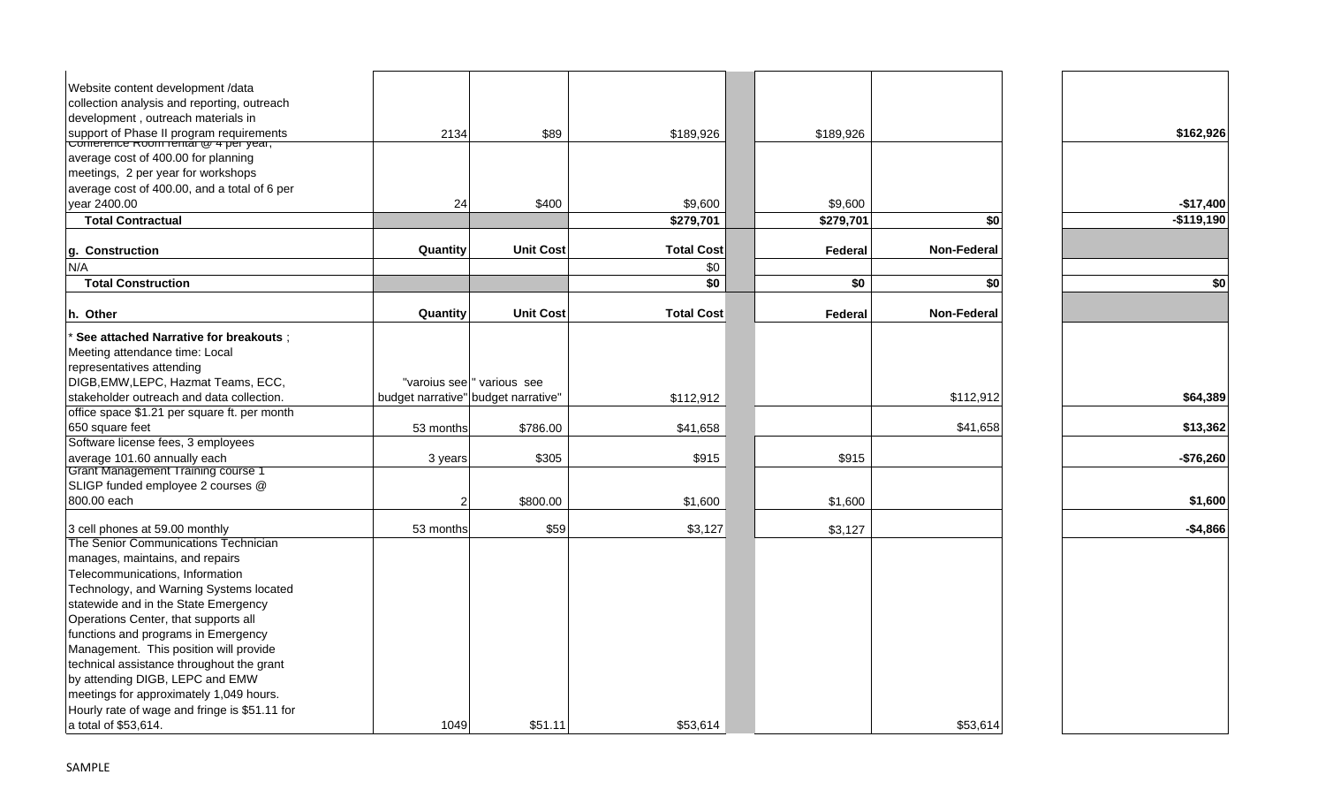| Website content development /data<br>collection analysis and reporting, outreach |           |                                     |                   |           |                    |             |
|----------------------------------------------------------------------------------|-----------|-------------------------------------|-------------------|-----------|--------------------|-------------|
| development, outreach materials in                                               |           |                                     |                   |           |                    |             |
|                                                                                  | 2134      | \$89                                | \$189,926         | \$189,926 |                    | \$162,926   |
| support of Phase II program requirements<br>Comerence Room remar @ 4 per year,   |           |                                     |                   |           |                    |             |
| average cost of 400.00 for planning                                              |           |                                     |                   |           |                    |             |
| meetings, 2 per year for workshops                                               |           |                                     |                   |           |                    |             |
| average cost of 400.00, and a total of 6 per                                     |           |                                     |                   |           |                    |             |
| year 2400.00                                                                     | 24        | \$400                               | \$9,600           | \$9,600   |                    | $-$17,400$  |
| <b>Total Contractual</b>                                                         |           |                                     | \$279,701         | \$279,701 | \$0                | $-$119,190$ |
| g. Construction                                                                  | Quantity  | <b>Unit Cost</b>                    | <b>Total Cost</b> | Federal   | <b>Non-Federal</b> |             |
| N/A                                                                              |           |                                     | \$0               |           |                    |             |
| <b>Total Construction</b>                                                        |           |                                     | \$0               | \$0       | \$0                | \$0         |
|                                                                                  |           |                                     |                   |           |                    |             |
| h. Other                                                                         | Quantity  | <b>Unit Cost</b>                    | <b>Total Cost</b> | Federal   | <b>Non-Federal</b> |             |
| See attached Narrative for breakouts ;                                           |           |                                     |                   |           |                    |             |
| Meeting attendance time: Local                                                   |           |                                     |                   |           |                    |             |
| representatives attending                                                        |           |                                     |                   |           |                    |             |
| DIGB, EMW, LEPC, Hazmat Teams, ECC,                                              |           | "varoius see " various see          |                   |           |                    |             |
| stakeholder outreach and data collection.                                        |           | budget narrative" budget narrative" | \$112,912         |           | \$112,912          | \$64,389    |
| office space \$1.21 per square ft. per month                                     |           |                                     |                   |           |                    |             |
| 650 square feet                                                                  | 53 months | \$786.00                            | \$41,658          |           | \$41,658           | \$13,362    |
| Software license fees, 3 employees                                               |           |                                     |                   |           |                    |             |
| average 101.60 annually each                                                     | 3 years   | \$305                               | \$915             | \$915     |                    | $-$76,260$  |
| <b>Grant Management Training course 1</b>                                        |           |                                     |                   |           |                    |             |
| SLIGP funded employee 2 courses @                                                |           |                                     |                   |           |                    |             |
| 800.00 each                                                                      | 2         | \$800.00                            | \$1,600           | \$1,600   |                    | \$1,600     |
|                                                                                  |           |                                     |                   |           |                    |             |
| 3 cell phones at 59.00 monthly                                                   | 53 months | \$59                                | \$3,127           | \$3,127   |                    | $-$4,866$   |
| The Senior Communications Technician                                             |           |                                     |                   |           |                    |             |
| manages, maintains, and repairs                                                  |           |                                     |                   |           |                    |             |
| Telecommunications, Information                                                  |           |                                     |                   |           |                    |             |
| Technology, and Warning Systems located                                          |           |                                     |                   |           |                    |             |
| statewide and in the State Emergency                                             |           |                                     |                   |           |                    |             |
| Operations Center, that supports all                                             |           |                                     |                   |           |                    |             |
| functions and programs in Emergency                                              |           |                                     |                   |           |                    |             |
| Management. This position will provide                                           |           |                                     |                   |           |                    |             |
| technical assistance throughout the grant                                        |           |                                     |                   |           |                    |             |
| by attending DIGB, LEPC and EMW                                                  |           |                                     |                   |           |                    |             |
| meetings for approximately 1,049 hours.                                          |           |                                     |                   |           |                    |             |
| Hourly rate of wage and fringe is \$51.11 for                                    |           |                                     |                   |           |                    |             |
| a total of \$53,614.                                                             | 1049      | \$51.11                             | \$53,614          |           | \$53,614           |             |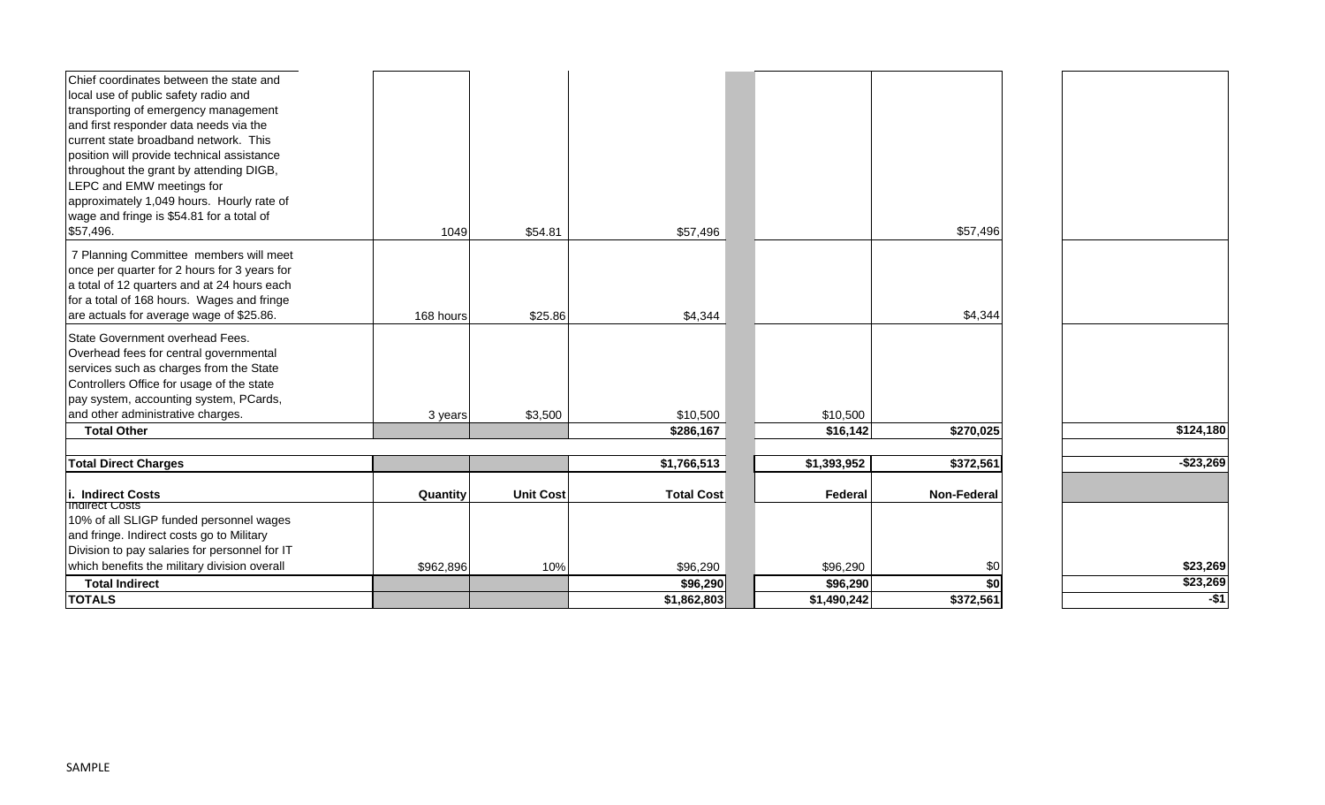| Chief coordinates between the state and                          |           |                  |                   |             |                    |            |
|------------------------------------------------------------------|-----------|------------------|-------------------|-------------|--------------------|------------|
| local use of public safety radio and                             |           |                  |                   |             |                    |            |
| transporting of emergency management                             |           |                  |                   |             |                    |            |
| and first responder data needs via the                           |           |                  |                   |             |                    |            |
| current state broadband network. This                            |           |                  |                   |             |                    |            |
| position will provide technical assistance                       |           |                  |                   |             |                    |            |
| throughout the grant by attending DIGB,                          |           |                  |                   |             |                    |            |
| LEPC and EMW meetings for                                        |           |                  |                   |             |                    |            |
| approximately 1,049 hours. Hourly rate of                        |           |                  |                   |             |                    |            |
| wage and fringe is \$54.81 for a total of                        |           |                  |                   |             |                    |            |
| \$57,496.                                                        | 1049      | \$54.81          | \$57,496          |             | \$57,496           |            |
| 7 Planning Committee members will meet                           |           |                  |                   |             |                    |            |
| once per quarter for 2 hours for 3 years for                     |           |                  |                   |             |                    |            |
| a total of 12 quarters and at 24 hours each                      |           |                  |                   |             |                    |            |
| for a total of 168 hours. Wages and fringe                       |           |                  |                   |             |                    |            |
| are actuals for average wage of \$25.86.                         | 168 hours | \$25.86          | \$4,344           |             | \$4,344            |            |
| State Government overhead Fees.                                  |           |                  |                   |             |                    |            |
| Overhead fees for central governmental                           |           |                  |                   |             |                    |            |
| services such as charges from the State                          |           |                  |                   |             |                    |            |
| Controllers Office for usage of the state                        |           |                  |                   |             |                    |            |
| pay system, accounting system, PCards,                           |           |                  |                   |             |                    |            |
| and other administrative charges.                                | 3 years   | \$3,500          | \$10,500          | \$10,500    |                    |            |
| <b>Total Other</b>                                               |           |                  | \$286,167         | \$16,142    | \$270,025          | \$124,180  |
| <b>Total Direct Charges</b>                                      |           |                  | \$1,766,513       | \$1,393,952 | \$372,561          | $-$23,269$ |
|                                                                  |           |                  |                   |             |                    |            |
| i. Indirect Costs                                                | Quantity  | <b>Unit Cost</b> | <b>Total Cost</b> | Federal     | <b>Non-Federal</b> |            |
| <b>Indirect Costs</b><br>10% of all SLIGP funded personnel wages |           |                  |                   |             |                    |            |
| and fringe. Indirect costs go to Military                        |           |                  |                   |             |                    |            |
| Division to pay salaries for personnel for IT                    |           |                  |                   |             |                    |            |
| which benefits the military division overall                     | \$962,896 | 10%              | \$96,290          | \$96,290    | \$0                | \$23,269   |
| <b>Total Indirect</b>                                            |           |                  | \$96,290          | \$96,290    | \$0                | \$23,269   |
| <b>TOTALS</b>                                                    |           |                  | \$1,862,803       | \$1,490,242 | \$372,561          | $-$ \$1    |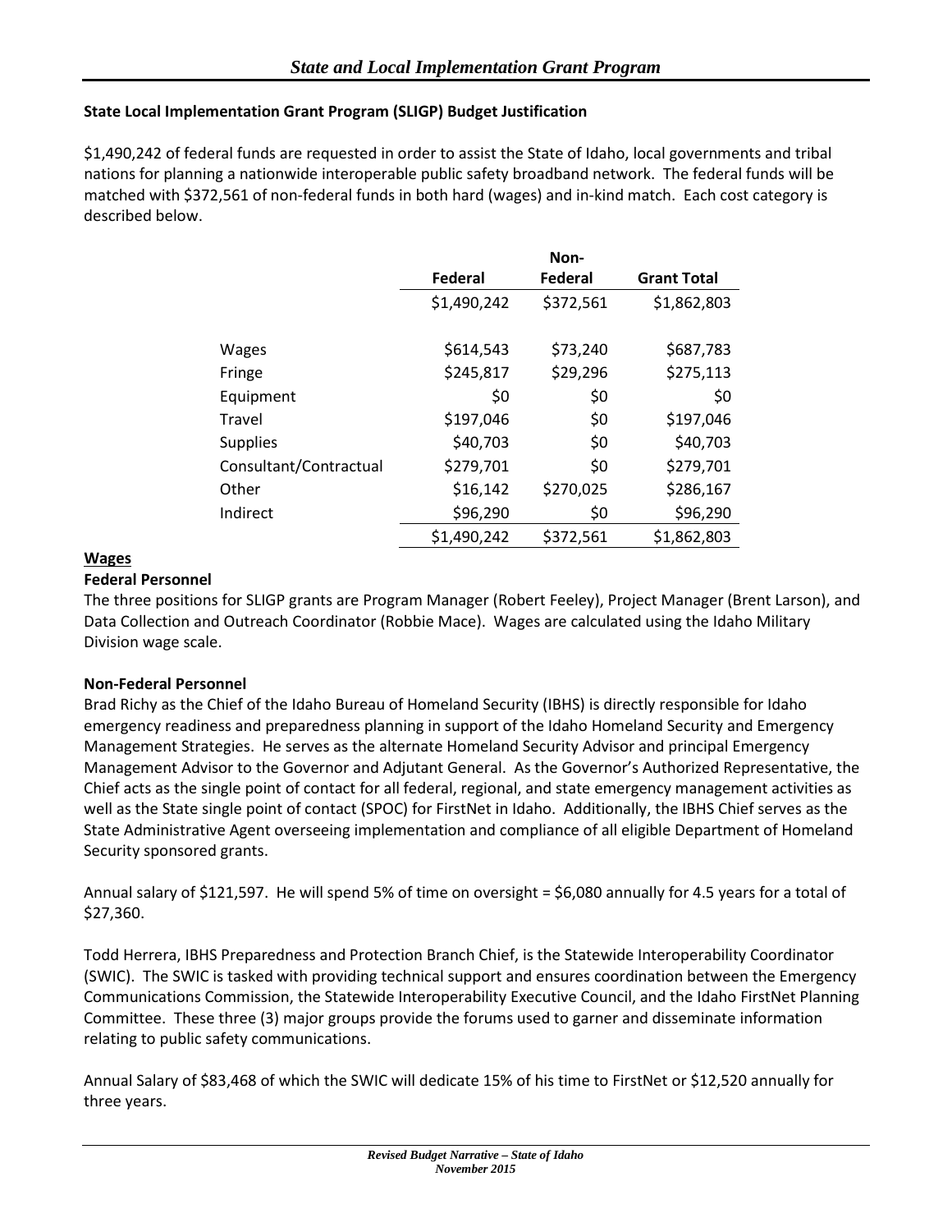## **State Local Implementation Grant Program (SLIGP) Budget Justification**

\$1,490,242 of federal funds are requested in order to assist the State of Idaho, local governments and tribal nations for planning a nationwide interoperable public safety broadband network. The federal funds will be matched with \$372,561 of non-federal funds in both hard (wages) and in-kind match. Each cost category is described below.

|                        |             | Non-      |                    |
|------------------------|-------------|-----------|--------------------|
|                        | Federal     | Federal   | <b>Grant Total</b> |
|                        | \$1,490,242 | \$372,561 | \$1,862,803        |
|                        |             |           |                    |
| Wages                  | \$614,543   | \$73,240  | \$687,783          |
| Fringe                 | \$245,817   | \$29,296  | \$275,113          |
| Equipment              | \$0         | \$0       | \$0                |
| Travel                 | \$197,046   | \$0       | \$197,046          |
| <b>Supplies</b>        | \$40,703    | \$0       | \$40,703           |
| Consultant/Contractual | \$279,701   | \$0       | \$279,701          |
| Other                  | \$16,142    | \$270,025 | \$286,167          |
| Indirect               | \$96,290    | \$0       | \$96,290           |
|                        | \$1,490,242 | \$372,561 | \$1,862,803        |

### **Wages**

#### **Federal Personnel**

The three positions for SLIGP grants are Program Manager (Robert Feeley), Project Manager (Brent Larson), and Data Collection and Outreach Coordinator (Robbie Mace). Wages are calculated using the Idaho Military Division wage scale.

### **Non-Federal Personnel**

Brad Richy as the Chief of the Idaho Bureau of Homeland Security (IBHS) is directly responsible for Idaho emergency readiness and preparedness planning in support of the Idaho Homeland Security and Emergency Management Strategies. He serves as the alternate Homeland Security Advisor and principal Emergency Management Advisor to the Governor and Adjutant General. As the Governor's Authorized Representative, the Chief acts as the single point of contact for all federal, regional, and state emergency management activities as well as the State single point of contact (SPOC) for FirstNet in Idaho. Additionally, the IBHS Chief serves as the State Administrative Agent overseeing implementation and compliance of all eligible Department of Homeland Security sponsored grants.

Annual salary of \$121,597. He will spend 5% of time on oversight = \$6,080 annually for 4.5 years for a total of \$27,360.

Todd Herrera, IBHS Preparedness and Protection Branch Chief, is the Statewide Interoperability Coordinator (SWIC). The SWIC is tasked with providing technical support and ensures coordination between the Emergency Communications Commission, the Statewide Interoperability Executive Council, and the Idaho FirstNet Planning Committee. These three (3) major groups provide the forums used to garner and disseminate information relating to public safety communications.

Annual Salary of \$83,468 of which the SWIC will dedicate 15% of his time to FirstNet or \$12,520 annually for three years.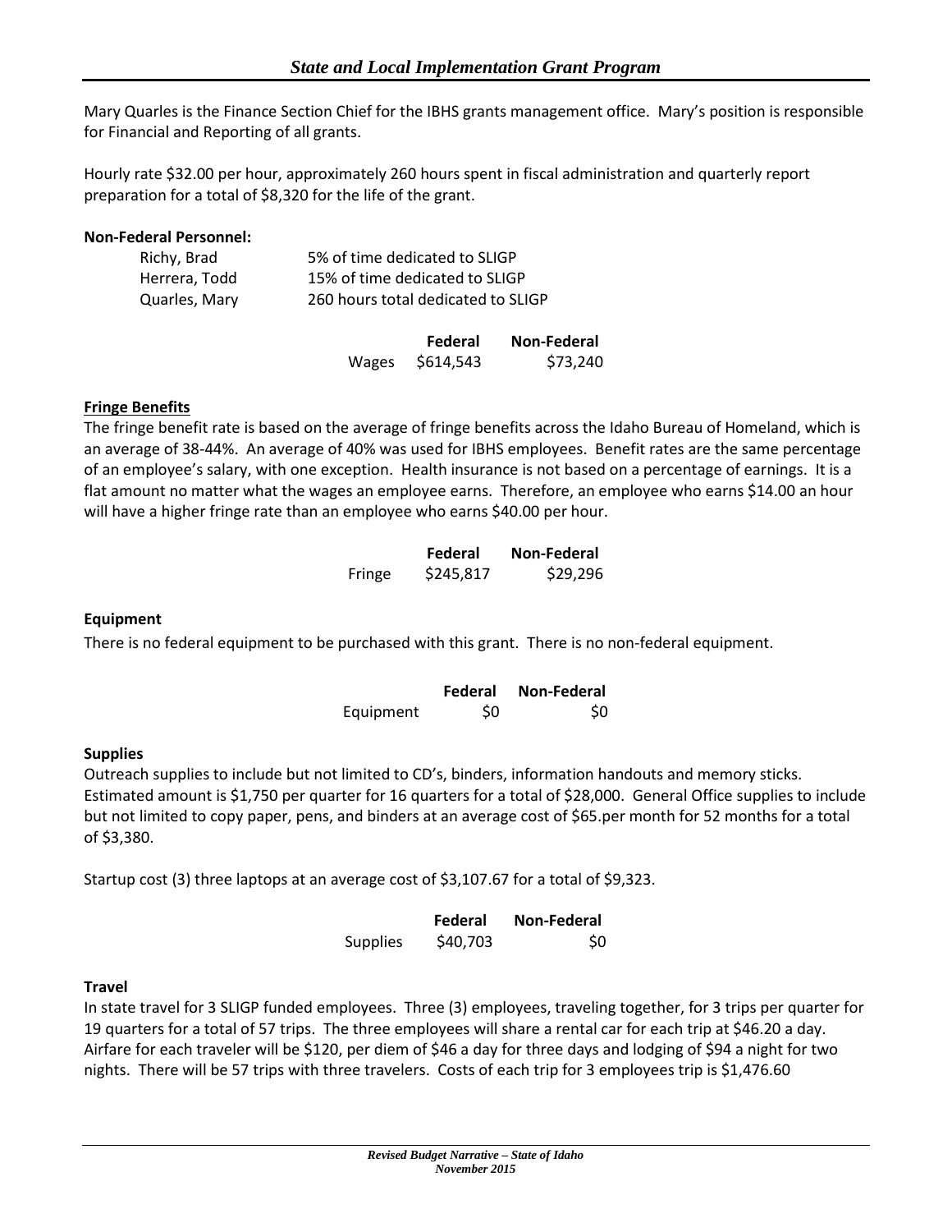Mary Quarles is the Finance Section Chief for the IBHS grants management office. Mary's position is responsible for Financial and Reporting of all grants.

Hourly rate \$32.00 per hour, approximately 260 hours spent in fiscal administration and quarterly report preparation for a total of \$8,320 for the life of the grant.

### **Non-Federal Personnel:**

| Richy, Brad   | 5% of time dedicated to SLIGP      |
|---------------|------------------------------------|
| Herrera, Todd | 15% of time dedicated to SLIGP     |
| Quarles, Mary | 260 hours total dedicated to SLIGP |

|       | Federal   | Non-Federal |
|-------|-----------|-------------|
| Wages | \$614,543 | \$73,240    |

#### **Fringe Benefits**

The fringe benefit rate is based on the average of fringe benefits across the Idaho Bureau of Homeland, which is an average of 38-44%. An average of 40% was used for IBHS employees. Benefit rates are the same percentage of an employee's salary, with one exception. Health insurance is not based on a percentage of earnings. It is a flat amount no matter what the wages an employee earns. Therefore, an employee who earns \$14.00 an hour will have a higher fringe rate than an employee who earns \$40.00 per hour.

|        | Federal   | Non-Federal |
|--------|-----------|-------------|
| Fringe | \$245,817 | \$29,296    |

#### **Equipment**

There is no federal equipment to be purchased with this grant. There is no non-federal equipment.

|           | Federal | Non-Federal |
|-----------|---------|-------------|
| Equipment | S0      | \$0         |

### **Supplies**

Outreach supplies to include but not limited to CD's, binders, information handouts and memory sticks. Estimated amount is \$1,750 per quarter for 16 quarters for a total of \$28,000. General Office supplies to include but not limited to copy paper, pens, and binders at an average cost of \$65.per month for 52 months for a total of \$3,380.

Startup cost (3) three laptops at an average cost of \$3,107.67 for a total of \$9,323.

|                 | Federal  | Non-Federal |  |  |
|-----------------|----------|-------------|--|--|
| <b>Supplies</b> | \$40,703 | \$0         |  |  |

#### **Travel**

In state travel for 3 SLIGP funded employees. Three (3) employees, traveling together, for 3 trips per quarter for 19 quarters for a total of 57 trips. The three employees will share a rental car for each trip at \$46.20 a day. Airfare for each traveler will be \$120, per diem of \$46 a day for three days and lodging of \$94 a night for two nights. There will be 57 trips with three travelers. Costs of each trip for 3 employees trip is \$1,476.60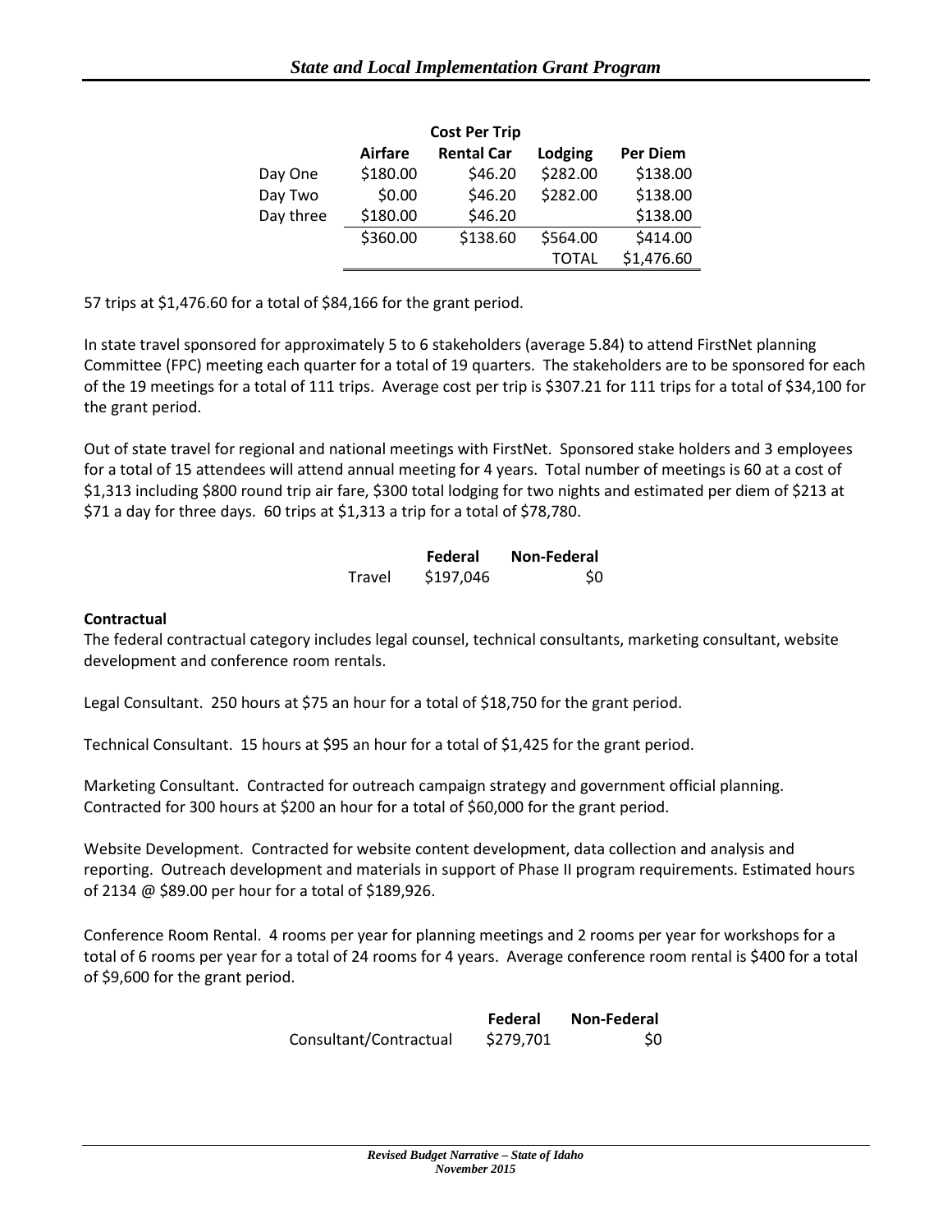| <b>Cost Per Trip</b> |                                                |          |          |            |  |  |  |  |  |  |  |
|----------------------|------------------------------------------------|----------|----------|------------|--|--|--|--|--|--|--|
|                      | <b>Rental Car</b><br><b>Airfare</b><br>Lodging |          |          |            |  |  |  |  |  |  |  |
| Day One              | \$180.00                                       | \$46.20  | \$282.00 | \$138.00   |  |  |  |  |  |  |  |
| Day Two              | \$0.00                                         | \$46.20  | \$282.00 | \$138.00   |  |  |  |  |  |  |  |
| Day three            | \$180.00                                       | \$46.20  |          | \$138.00   |  |  |  |  |  |  |  |
|                      | \$360.00                                       | \$138.60 | \$564.00 | \$414.00   |  |  |  |  |  |  |  |
|                      |                                                |          | TOTAL    | \$1,476.60 |  |  |  |  |  |  |  |

57 trips at \$1,476.60 for a total of \$84,166 for the grant period.

In state travel sponsored for approximately 5 to 6 stakeholders (average 5.84) to attend FirstNet planning Committee (FPC) meeting each quarter for a total of 19 quarters. The stakeholders are to be sponsored for each of the 19 meetings for a total of 111 trips. Average cost per trip is \$307.21 for 111 trips for a total of \$34,100 for the grant period.

Out of state travel for regional and national meetings with FirstNet. Sponsored stake holders and 3 employees for a total of 15 attendees will attend annual meeting for 4 years. Total number of meetings is 60 at a cost of \$1,313 including \$800 round trip air fare, \$300 total lodging for two nights and estimated per diem of \$213 at \$71 a day for three days. 60 trips at \$1,313 a trip for a total of \$78,780.

|        | Federal   | <b>Non-Federal</b> |
|--------|-----------|--------------------|
| Travel | \$197,046 | \$0                |

### **Contractual**

The federal contractual category includes legal counsel, technical consultants, marketing consultant, website development and conference room rentals.

Legal Consultant. 250 hours at \$75 an hour for a total of \$18,750 for the grant period.

Technical Consultant. 15 hours at \$95 an hour for a total of \$1,425 for the grant period.

Marketing Consultant. Contracted for outreach campaign strategy and government official planning. Contracted for 300 hours at \$200 an hour for a total of \$60,000 for the grant period.

Website Development. Contracted for website content development, data collection and analysis and reporting. Outreach development and materials in support of Phase II program requirements. Estimated hours of 2134 @ \$89.00 per hour for a total of \$189,926.

Conference Room Rental. 4 rooms per year for planning meetings and 2 rooms per year for workshops for a total of 6 rooms per year for a total of 24 rooms for 4 years. Average conference room rental is \$400 for a total of \$9,600 for the grant period.

|                        | Federal   | <b>Non-Federal</b> |  |  |
|------------------------|-----------|--------------------|--|--|
| Consultant/Contractual | \$279,701 | \$0                |  |  |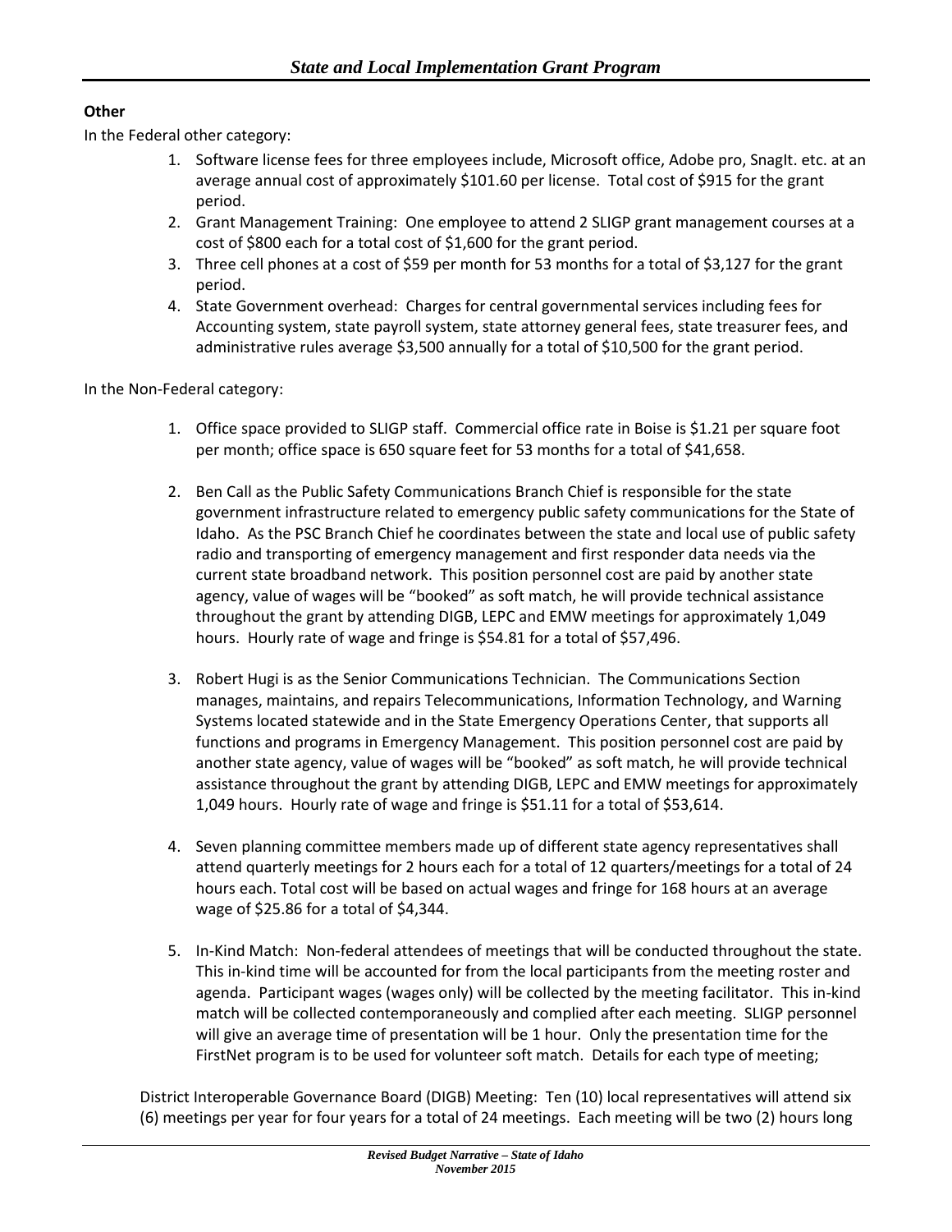# **Other**

In the Federal other category:

- 1. Software license fees for three employees include, Microsoft office, Adobe pro, SnagIt. etc. at an average annual cost of approximately \$101.60 per license. Total cost of \$915 for the grant period.
- 2. Grant Management Training: One employee to attend 2 SLIGP grant management courses at a cost of \$800 each for a total cost of \$1,600 for the grant period.
- 3. Three cell phones at a cost of \$59 per month for 53 months for a total of \$3,127 for the grant period.
- 4. State Government overhead: Charges for central governmental services including fees for Accounting system, state payroll system, state attorney general fees, state treasurer fees, and administrative rules average \$3,500 annually for a total of \$10,500 for the grant period.

In the Non-Federal category:

- 1. Office space provided to SLIGP staff. Commercial office rate in Boise is \$1.21 per square foot per month; office space is 650 square feet for 53 months for a total of \$41,658.
- 2. Ben Call as the Public Safety Communications Branch Chief is responsible for the state government infrastructure related to emergency public safety communications for the State of Idaho. As the PSC Branch Chief he coordinates between the state and local use of public safety radio and transporting of emergency management and first responder data needs via the current state broadband network. This position personnel cost are paid by another state agency, value of wages will be "booked" as soft match, he will provide technical assistance throughout the grant by attending DIGB, LEPC and EMW meetings for approximately 1,049 hours. Hourly rate of wage and fringe is \$54.81 for a total of \$57,496.
- 3. Robert Hugi is as the Senior Communications Technician. The Communications Section manages, maintains, and repairs Telecommunications, Information Technology, and Warning Systems located statewide and in the State Emergency Operations Center, that supports all functions and programs in Emergency Management. This position personnel cost are paid by another state agency, value of wages will be "booked" as soft match, he will provide technical assistance throughout the grant by attending DIGB, LEPC and EMW meetings for approximately 1,049 hours. Hourly rate of wage and fringe is \$51.11 for a total of \$53,614.
- 4. Seven planning committee members made up of different state agency representatives shall attend quarterly meetings for 2 hours each for a total of 12 quarters/meetings for a total of 24 hours each. Total cost will be based on actual wages and fringe for 168 hours at an average wage of \$25.86 for a total of \$4,344.
- 5. In-Kind Match: Non-federal attendees of meetings that will be conducted throughout the state. This in-kind time will be accounted for from the local participants from the meeting roster and agenda. Participant wages (wages only) will be collected by the meeting facilitator. This in-kind match will be collected contemporaneously and complied after each meeting. SLIGP personnel will give an average time of presentation will be 1 hour. Only the presentation time for the FirstNet program is to be used for volunteer soft match. Details for each type of meeting;

District Interoperable Governance Board (DIGB) Meeting: Ten (10) local representatives will attend six (6) meetings per year for four years for a total of 24 meetings. Each meeting will be two (2) hours long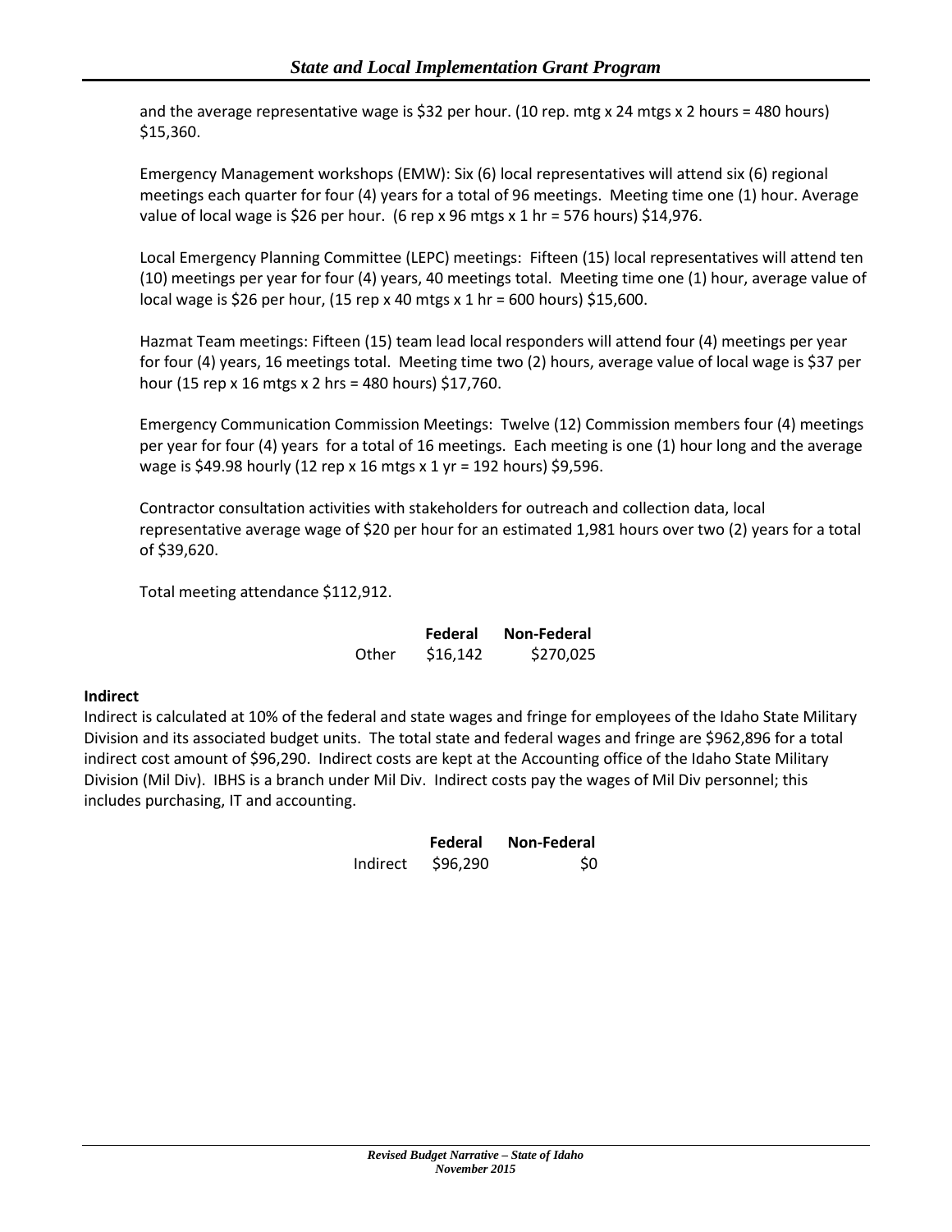and the average representative wage is \$32 per hour. (10 rep. mtg x 24 mtgs x 2 hours = 480 hours) \$15,360.

Emergency Management workshops (EMW): Six (6) local representatives will attend six (6) regional meetings each quarter for four (4) years for a total of 96 meetings. Meeting time one (1) hour. Average value of local wage is \$26 per hour. (6 rep x 96 mtgs x 1 hr = 576 hours) \$14,976.

Local Emergency Planning Committee (LEPC) meetings: Fifteen (15) local representatives will attend ten (10) meetings per year for four (4) years, 40 meetings total. Meeting time one (1) hour, average value of local wage is \$26 per hour, (15 rep x 40 mtgs x 1 hr = 600 hours) \$15,600.

Hazmat Team meetings: Fifteen (15) team lead local responders will attend four (4) meetings per year for four (4) years, 16 meetings total. Meeting time two (2) hours, average value of local wage is \$37 per hour (15 rep x 16 mtgs x 2 hrs = 480 hours) \$17,760.

Emergency Communication Commission Meetings: Twelve (12) Commission members four (4) meetings per year for four (4) years for a total of 16 meetings. Each meeting is one (1) hour long and the average wage is \$49.98 hourly (12 rep x 16 mtgs x 1 yr = 192 hours) \$9,596.

Contractor consultation activities with stakeholders for outreach and collection data, local representative average wage of \$20 per hour for an estimated 1,981 hours over two (2) years for a total of \$39,620.

Total meeting attendance \$112,912.

|       | Federal  | Non-Federal |
|-------|----------|-------------|
| Other | \$16,142 | \$270,025   |

### **Indirect**

Indirect is calculated at 10% of the federal and state wages and fringe for employees of the Idaho State Military Division and its associated budget units. The total state and federal wages and fringe are \$962,896 for a total indirect cost amount of \$96,290. Indirect costs are kept at the Accounting office of the Idaho State Military Division (Mil Div). IBHS is a branch under Mil Div. Indirect costs pay the wages of Mil Div personnel; this includes purchasing, IT and accounting.

|          | Federal  | Non-Federal |  |  |  |
|----------|----------|-------------|--|--|--|
| Indirect | \$96,290 | \$0         |  |  |  |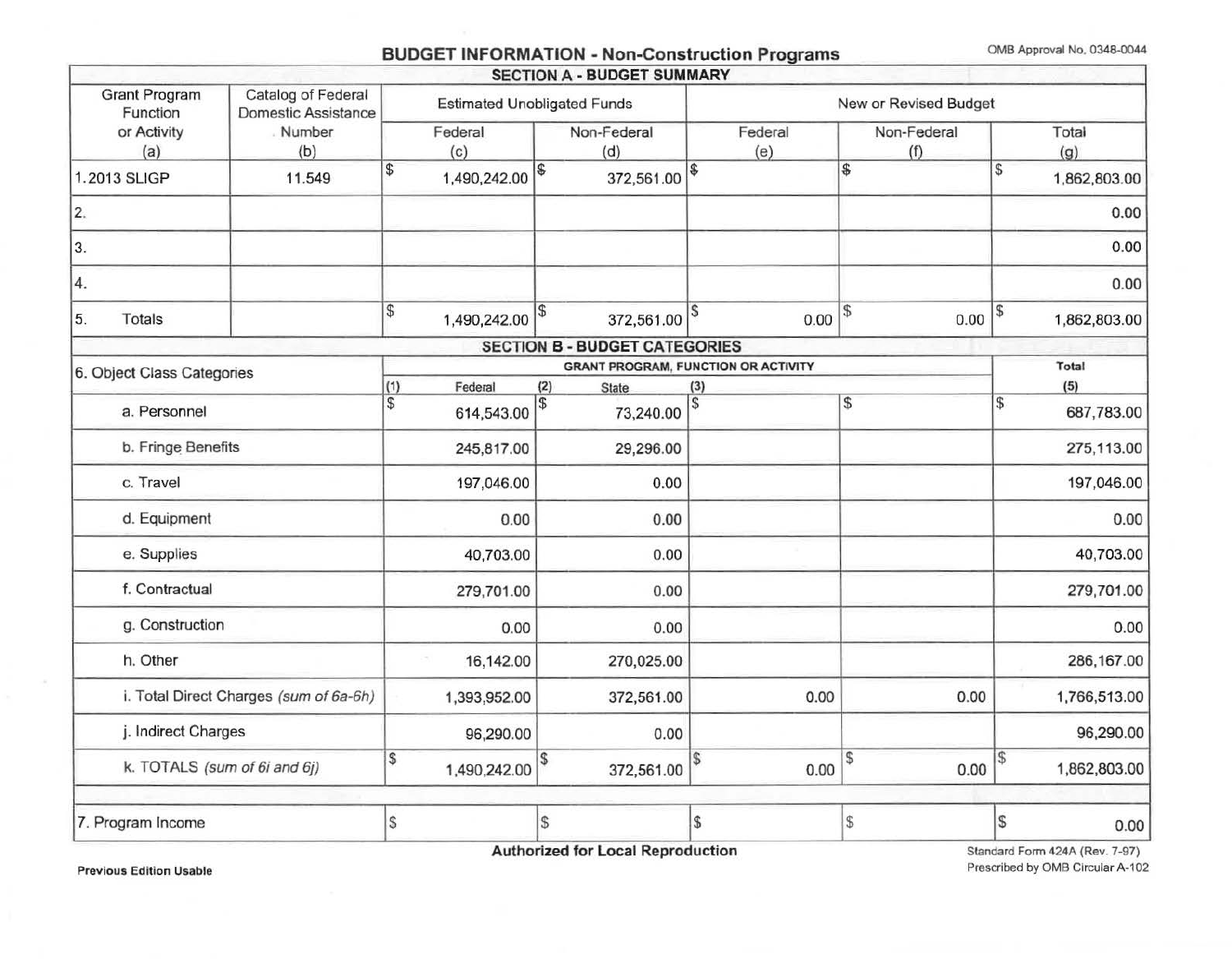# BUDGET INFORMATION - Non-Construction Programs OMB Approval No. 0348-0044

|                                                                               |               |                                    |              |     | <b>SECTION A - BUDGET SUMMARY</b>    |          |                                            |                    |    |              |
|-------------------------------------------------------------------------------|---------------|------------------------------------|--------------|-----|--------------------------------------|----------|--------------------------------------------|--------------------|----|--------------|
| <b>Grant Program</b><br>Catalog of Federal<br>Domestic Assistance<br>Function |               | <b>Estimated Unobligated Funds</b> |              |     | New or Revised Budget                |          |                                            |                    |    |              |
| or Activity<br>(a)                                                            | Number<br>(b) | Federal<br>(c)                     |              |     | Non-Federal<br>(d)                   |          | Federal<br>(e)                             | Non-Federal<br>(f) |    | Total<br>(g) |
| 1.2013 SLIGP                                                                  | 11.549        | \$                                 | 1,490,242.00 | 1\$ | 372,561.00                           | \$       |                                            | \$                 | S  | 1,862,803.00 |
| 2.                                                                            |               |                                    |              |     |                                      |          |                                            |                    |    | 0.00         |
| 3.                                                                            |               |                                    |              |     |                                      |          |                                            |                    |    | 0.00         |
| 4.                                                                            |               |                                    |              |     |                                      |          |                                            |                    |    | 0.00         |
| 5.<br>Totals                                                                  |               | \$                                 | 1,490,242.00 | \$  | 372,561.00                           |          | 0.00                                       | \$<br>0.00         | \$ | 1,862,803.00 |
|                                                                               |               |                                    |              |     | <b>SECTION B - BUDGET CATEGORIES</b> |          |                                            |                    |    |              |
| 6. Object Class Categories                                                    |               |                                    |              |     |                                      |          | <b>GRANT PROGRAM, FUNCTION OR ACTIVITY</b> |                    |    | Total        |
|                                                                               |               | (1)<br>Federal                     |              | (2) | <b>State</b>                         | (3)      |                                            |                    |    | (5)          |
| a. Personnel                                                                  |               | \$                                 | 614,543.00   | \$  | 73,240.00                            | <b>S</b> |                                            | \$                 | 5  | 687,783.00   |
| b. Fringe Benefits                                                            |               |                                    | 245,817.00   |     | 29,296.00                            |          |                                            |                    |    | 275,113.00   |
| c. Travel                                                                     |               |                                    | 197,046.00   |     | 0.00                                 |          |                                            |                    |    | 197,046.00   |
| d. Equipment                                                                  |               |                                    | 0.00         |     | 0.00                                 |          |                                            |                    |    | 0.00         |
| e. Supplies                                                                   |               |                                    | 40,703.00    |     | 0.00                                 |          |                                            |                    |    | 40,703.00    |
| f. Contractual                                                                |               |                                    | 279,701.00   |     | 0.00                                 |          |                                            |                    |    | 279,701.00   |
| g. Construction                                                               |               |                                    | 0.00         |     | 0.00                                 |          |                                            |                    |    | 0.00         |
| h. Other                                                                      |               |                                    | 16,142.00    |     | 270,025.00                           |          |                                            |                    |    | 286,167.00   |
| i. Total Direct Charges (sum of 6a-6h)                                        |               |                                    | 1,393,952.00 |     | 372,561.00                           |          | 0.00                                       | 0.00               |    | 1,766,513.00 |
| j. Indirect Charges                                                           |               |                                    | 96,290.00    |     | 0.00                                 |          |                                            |                    |    | 96,290.00    |
| k. TOTALS (sum of 6i and 6j)                                                  |               | S                                  | 1,490,242.00 |     | 372,561.00                           | \$       | 0.00                                       | \$<br>0.00         | \$ | 1,862,803.00 |
| 7. Program Income                                                             |               | S                                  |              | \$  |                                      | \$       |                                            | $$\mathfrak{S}$$   | S  | 0.00         |
|                                                                               |               |                                    |              |     |                                      |          |                                            |                    |    |              |

Authorized for Local Reproduction

Standard Form 424A (Rev. 7-97) Prescribed by OMB Circular A-102

Previous Edition Usable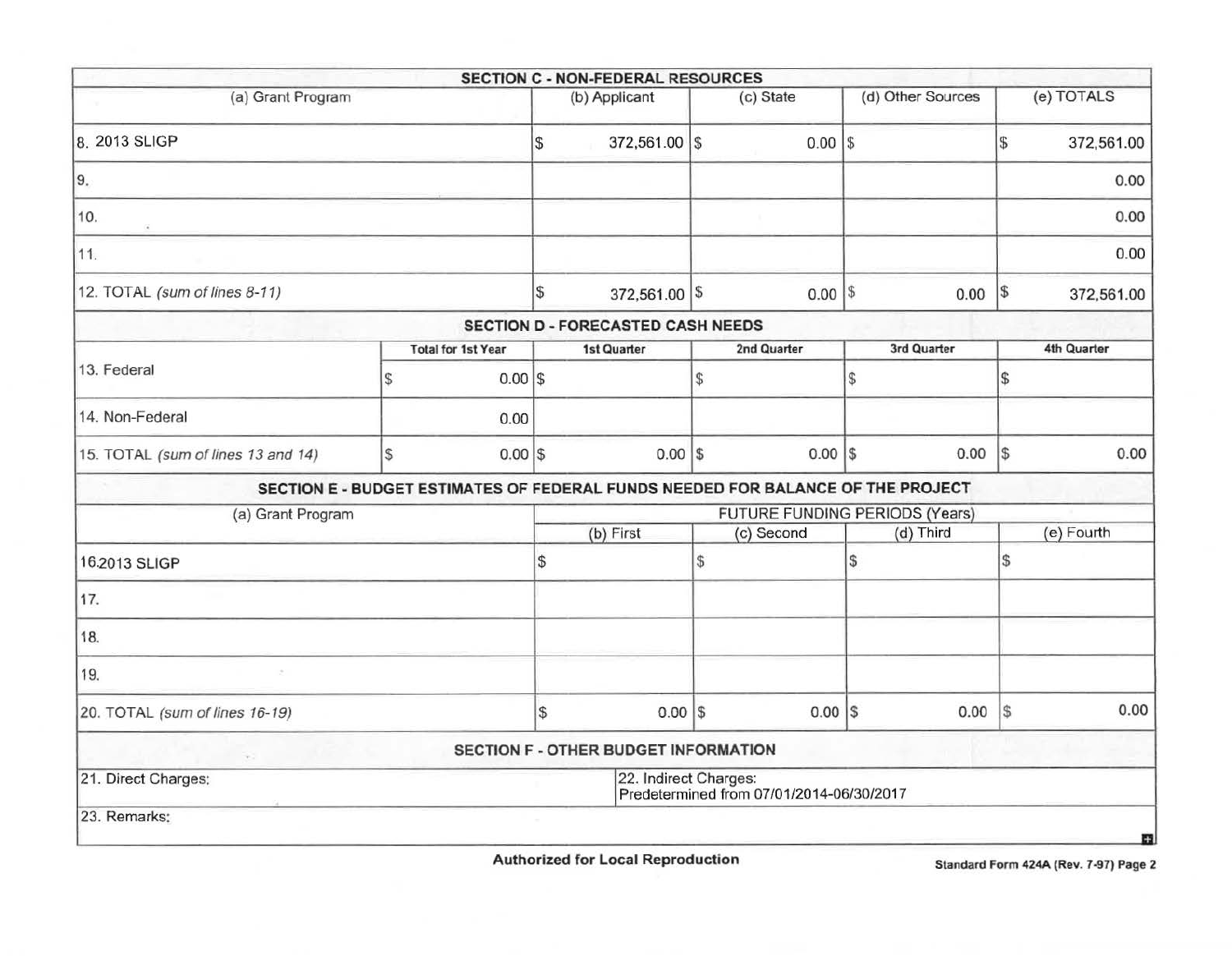|                                    |   |                           |                                | <b>SECTION C - NON-FEDERAL RESOURCES</b>    |    |                                                                                 |               |                   |               |             |
|------------------------------------|---|---------------------------|--------------------------------|---------------------------------------------|----|---------------------------------------------------------------------------------|---------------|-------------------|---------------|-------------|
| (a) Grant Program                  |   |                           |                                | (b) Applicant                               |    | (c) State                                                                       |               | (d) Other Sources |               | (e) TOTALS  |
| 8. 2013 SLIGP                      |   |                           | \$                             | 372,561.00 \$                               |    | $0.00$ \\$                                                                      |               |                   | $\mathbb{S}$  | 372,561.00  |
| 9.                                 |   |                           |                                |                                             |    |                                                                                 |               |                   |               | 0.00        |
| 10.                                |   |                           |                                |                                             |    |                                                                                 |               |                   |               | 0.00        |
| 11.                                |   |                           |                                |                                             |    |                                                                                 |               |                   |               | 0.00        |
| 12. TOTAL (sum of lines 8-11)      |   |                           | \$                             | 372,561.00 \$                               |    | $0.00$ \\$                                                                      |               | 0.00              | $\sqrt{3}$    | 372,561.00  |
|                                    |   |                           |                                | SECTION D - FORECASTED CASH NEEDS           |    |                                                                                 |               |                   |               |             |
|                                    |   | <b>Total for 1st Year</b> |                                | <b>1st Quarter</b>                          |    | 2nd Quarter                                                                     |               | 3rd Quarter       |               | 4th Quarter |
| 13. Federal                        | S | $0.00$ \$                 |                                |                                             | \$ |                                                                                 | $\mathcal{S}$ |                   | $\sqrt{3}$    |             |
| 14. Non-Federal                    |   | 0.00                      |                                |                                             |    |                                                                                 |               |                   |               |             |
| 15. TOTAL (sum of lines 13 and 14) | S | $0.00$ \$                 |                                | $0.00$ \$                                   |    | $0.00$   \$                                                                     |               | 0.00              | l\$           | 0.00        |
|                                    |   |                           |                                |                                             |    | SECTION E - BUDGET ESTIMATES OF FEDERAL FUNDS NEEDED FOR BALANCE OF THE PROJECT |               |                   |               |             |
| (a) Grant Program                  |   |                           | FUTURE FUNDING PERIODS (Years) |                                             |    |                                                                                 |               |                   |               |             |
|                                    |   |                           |                                | (b) First                                   |    | (c) Second                                                                      |               | (d) Third         |               | (e) Fourth  |
| 16.2013 SLIGP                      |   |                           | \$                             |                                             | \$ |                                                                                 | S)            |                   | <sup>\$</sup> |             |
| 17.                                |   |                           |                                |                                             |    |                                                                                 |               |                   |               |             |
| 18.                                |   |                           |                                |                                             |    |                                                                                 |               |                   |               |             |
| 19.                                |   |                           |                                |                                             |    |                                                                                 |               |                   |               |             |
| 20. TOTAL (sum of lines 16-19)     |   |                           | $\mathbb{S}$                   | $0.00$ \$                                   |    | $0.00$ $S$                                                                      |               | 0.00              | s             | 0.00        |
|                                    |   |                           |                                | <b>SECTION F - OTHER BUDGET INFORMATION</b> |    |                                                                                 |               |                   |               |             |
| 21. Direct Charges:                |   |                           |                                | 22. Indirect Charges:                       |    | Predetermined from 07/01/2014-06/30/2017                                        |               |                   |               |             |
| 23. Remarks:                       |   |                           |                                |                                             |    |                                                                                 |               |                   |               | 亞           |